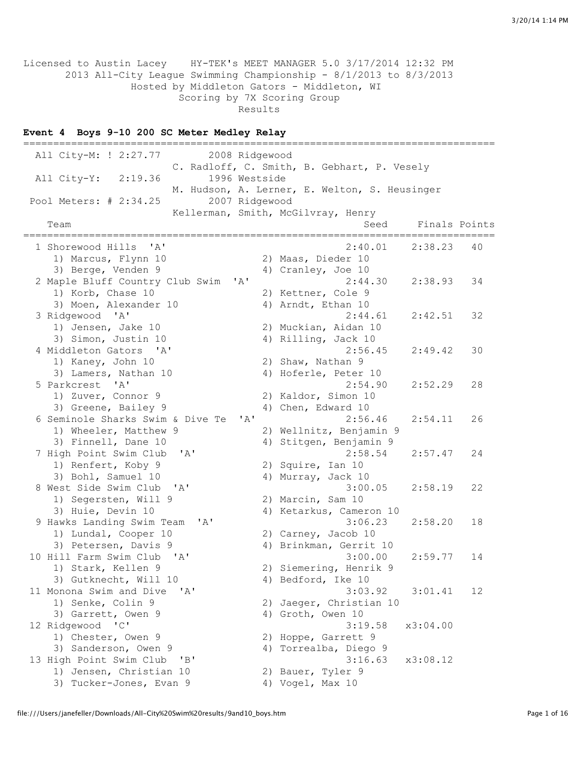Licensed to Austin Lacey HY-TEK's MEET MANAGER 5.0 3/17/2014 12:32 PM 2013 All-City League Swimming Championship - 8/1/2013 to 8/3/2013 Hosted by Middleton Gators - Middleton, WI Scoring by 7X Scoring Group Results

### **Event 4 Boys 9-10 200 SC Meter Medley Relay**

=============================================================================== All City-M: ! 2:27.77 2008 Ridgewood C. Radloff, C. Smith, B. Gebhart, P. Vesely All City-Y: 2:19.36 1996 Westside M. Hudson, A. Lerner, E. Welton, S. Heusinger Pool Meters: # 2:34.25 2007 Ridgewood Kellerman, Smith, McGilvray, Henry Team Seed Finals Points ===============================================================================  $2:40.01$   $2:38.23$  40 1) Marcus, Flynn 10 2) Maas, Dieder 10 3) Berge, Venden 9 4) Cranley, Joe 10 2 Maple Bluff Country Club Swim 'A' 2:44.30 2:38.93 34 1) Korb, Chase 10 2) Kettner, Cole 9 3) Moen, Alexander 10 4) Arndt, Ethan 10 3 Norb, Chase 10<br>
3 Noen, Alexander 10<br>
3 Ridgewood 'A' 2:44.61<br>
2:42.51 32<br>
4 Arndt, Ethan 10<br>
2:44.61<br>
2:42.51 32<br>
2) Muckian, Aidan 10 1) Jensen, Jake 10 2) Muckian, Aidan 10 3) Simon, Justin 10 4) Rilling, Jack 10 4 Middleton Gators 'A' 2:56.45 2:49.42 30 1) Kaney, John 10 2) Shaw, Nathan 9 3) Lamers, Nathan 10 4) Hoferle, Peter 10 5 Parkcrest 'A' 2:54.90 2:52.29 28 1) Zuver, Connor 9 2) Kaldor, Simon 10 3) Greene, Bailey 9 4) Chen, Edward 10 6 Seminole Sharks Swim & Dive Te 'A' 2:56.46 2:54.11 26 1) Wheeler, Matthew 9 2) Wellnitz, Benjamin 9 3) Finnell, Dane 10 4) Stitgen, Benjamin 9<br>
iigh Point Swim Club 'A' 2:58.54 7 High Point Swim Club 'A' 2:58.54 2:57.47 24 1) Renfert, Koby 9 2) Squire, Ian 10 3) Bohl, Samuel 10 4) Murray, Jack 10 8 West Side Swim Club 'A' 3:00.05 2:58.19 22 1) Segersten, Will 9 2) Marcin, Sam 10 3) Huie, Devin 10 4) Ketarkus, Cameron 10 9 Hawks Landing Swim Team 'A' 3:06.23 2:58.20 18 1) Lundal, Cooper 10 2) Carney, Jacob 10 3) Petersen, Davis 9 4) Brinkman, Gerrit 10 10 Hill Farm Swim Club 'A' 3:00.00 2:59.77 14 1) Stark, Kellen 9 2) Siemering, Henrik 9 3) Gutknecht, Will 10 4) Bedford, Ike 10 11 Monona Swim and Dive 'A' 3:03.92 3:01.41 12 1) Senke, Colin 9 2) Jaeger, Christian 10 3) Garrett, Owen 9 4) Groth, Owen 10 12 Ridgewood 'C' 3:19.58 x3:04.00 1) Chester, Owen 9 2) Hoppe, Garrett 9 3) Sanderson, Owen 9 4) Torrealba, Diego 9 13 High Point Swim Club 'B' 3:16.63 x3:08.12 1) Jensen, Christian 10 2) Bauer, Tyler 9 3) Tucker-Jones, Evan 9 (4) Vogel, Max 10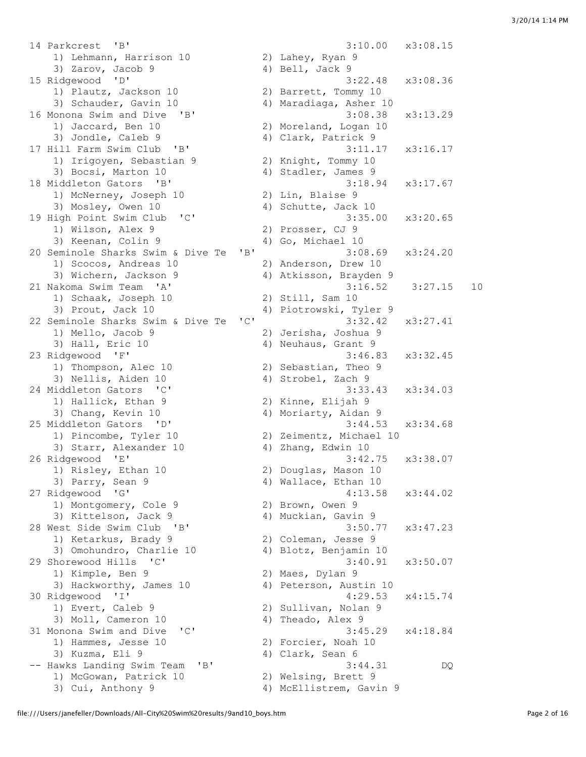14 Parkcrest 'B' 3:10.00 x3:08.15 1) Lehmann, Harrison 10 2) Lahey, Ryan 9 3) Zarov, Jacob 9 4) Bell, Jack 9 15 Ridgewood 'D' 3:22.48 x3:08.36 1) Plautz, Jackson 10 2) Barrett, Tommy 10 3) Schauder, Gavin 10 4) Maradiaga, Asher 10 16 Monona Swim and Dive 'B' 3:08.38 x3:13.29 1) Jaccard, Ben 10 2) Moreland, Logan 10 3) Jondle, Caleb 9 4) Clark, Patrick 9 17 Hill Farm Swim Club 'B' 3:11.17 x3:16.17 1) Irigoyen, Sebastian 9 2) Knight, Tommy 10 3) Bocsi, Marton 10 (4) Stadler, James 9 18 Middleton Gators 'B' 3:18.94 x3:17.67 1) McNerney, Joseph 10 2) Lin, Blaise 9 3) Mosley, Owen 10 4) Schutte, Jack 10 19 High Point Swim Club 'C' 3:35.00 x3:20.65 1) Wilson, Alex 9 2) Prosser, CJ 9 3) Keenan, Colin 9 4) Go, Michael 10 20 Seminole Sharks Swim & Dive Te 'B' 3:08.69 x3:24.20 1) Scocos, Andreas 10 2) Anderson, Drew 10 3) Wichern, Jackson 9 4) Atkisson, Brayden 9 21 Nakoma Swim Team 'A' 3:16.52 3:27.15 10 1) Schaak, Joseph 10 2) Still, Sam 10 3) Prout, Jack 10 4) Piotrowski, Tyler 9 22 Seminole Sharks Swim & Dive Te 'C' 3:32.42 x3:27.41<br>1) Mello, Jacob 9 2) Jerisha, Joshua 9 1) Mello, Jacob 9 3) Hall, Eric 10 4) Neuhaus, Grant 9 23 Ridgewood 'F' 3:46.83 x3:32.45 1) Thompson, Alec 10 2) Sebastian, Theo 9 3) Nellis, Aiden 10 4) Strobel, Zach 9 24 Middleton Gators 'C' 3:33.43 x3:34.03 1) Hallick, Ethan 9 2) Kinne, Elijah 9 3) Chang, Kevin 10 4) Moriarty, Aidan 9 25 Middleton Gators 'D' 3:44.53 x3:34.68 1) Pincombe, Tyler 10 2) Zeimentz, Michael 10 3) Starr, Alexander 10 4) Zhang, Edwin 10 26 Ridgewood 'E' 3:42.75 x3:38.07 1) Risley, Ethan 10 2) Douglas, Mason 10 3) Parry, Sean 9 4) Wallace, Ethan 10 27 Ridgewood 'G' 4:13.58 x3:44.02 1) Montgomery, Cole 9 2) Brown, Owen 9 3) Kittelson, Jack 9  $\begin{array}{ccc} 4) & Muckian, & Gavin & 9 \end{array}$ 28 West Side Swim Club 'B' 3:50.77 x3:47.23 1) Ketarkus, Brady 9 2) Coleman, Jesse 9 3) Omohundro, Charlie 10 4) Blotz, Benjamin 10 29 Shorewood Hills 'C' 3:40.91 x3:50.07 1) Kimple, Ben 9 2) Maes, Dylan 9 3) Hackworthy, James 10 4) Peterson, Austin 10 30 Ridgewood 'I' 4:29.53 x4:15.74 1) Evert, Caleb 9 2) Sullivan, Nolan 9 3) Moll, Cameron 10 4) Theado, Alex 9 31 Monona Swim and Dive 'C' 3:45.29 x4:18.84 1) Hammes, Jesse 10 2) Forcier, Noah 10 3) Kuzma, Eli 9 4) Clark, Sean 6 -- Hawks Landing Swim Team 'B' 3:44.31 DQ 1) McGowan, Patrick 10 awks Landing Swim Team<br>
1) McGowan, Patrick 10 4) Welsing, Brett 9<br>
3) Cui, Anthony 9 4) McEllistrem, Gavin 9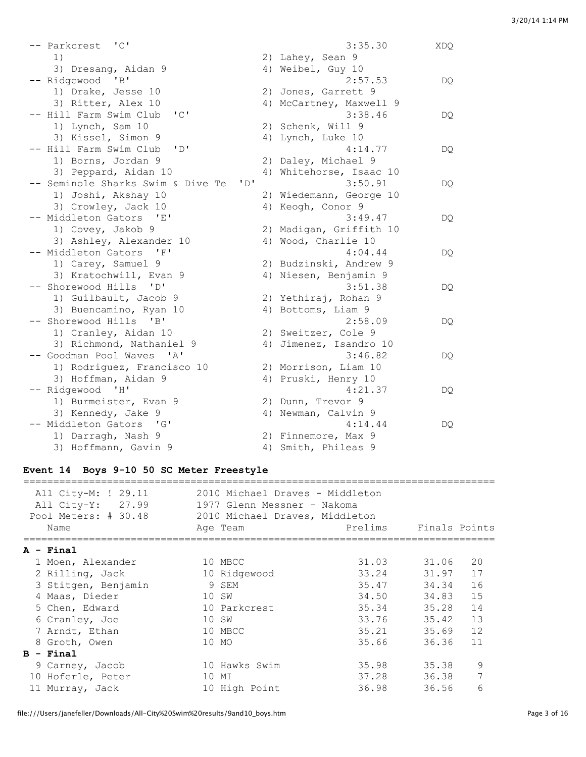| -- Parkcrest 'C'                                   |                                | 3:35.30                 | XDQ |
|----------------------------------------------------|--------------------------------|-------------------------|-----|
| 1)                                                 |                                | 2) Lahey, Sean 9        |     |
| 3) Dresang, Aidan 9                                |                                | 4) Weibel, Guy 10       |     |
| -- Ridgewood 'B'                                   |                                | 2:57.53                 | DQ  |
| 1) Drake, Jesse 10                                 |                                | 2) Jones, Garrett 9     |     |
| 3) Ritter, Alex 10                                 |                                | 4) McCartney, Maxwell 9 |     |
| "C"<br>-- Hill Farm Swim Club                      |                                | 3:38.46                 | DQ. |
| 1) Lynch, Sam 10                                   |                                | 2) Schenk, Will 9       |     |
| 3) Kissel, Simon 9                                 |                                | 4) Lynch, Luke 10       |     |
| $\mathbf{L}$<br>-- Hill Farm Swim Club             |                                | 4:14.77                 | DQ. |
| 1) Borns, Jordan 9                                 |                                | 2) Daley, Michael 9     |     |
| 3) Peppard, Aidan 10                               | 4)                             | Whitehorse, Isaac 10    |     |
| -- Seminole Sharks Swim & Dive Te                  | $\mathbf{1} \oplus \mathbf{1}$ | 3:50.91                 | DQ. |
| 1) Joshi, Akshay 10                                |                                | 2) Wiedemann, George 10 |     |
| 3) Crowley, Jack 10                                |                                | 4) Keogh, Conor 9       |     |
| -- Middleton Gators 'E'                            |                                | 3:49.47                 | DQ. |
| 1) Covey, Jakob 9                                  |                                | 2) Madigan, Griffith 10 |     |
| 3) Ashley, Alexander 10                            |                                | 4) Wood, Charlie 10     |     |
| -- Middleton Gators 'F'                            |                                | 4:04.44                 | DQ  |
| 1) Carey, Samuel 9                                 |                                | 2) Budzinski, Andrew 9  |     |
| 3) Kratochwill, Evan 9                             |                                | 4) Niesen, Benjamin 9   |     |
| -- Shorewood Hills 'D'                             |                                | 3:51.38                 | DQ. |
| 1) Guilbault, Jacob 9                              |                                | 2) Yethiraj, Rohan 9    |     |
| 3) Buencamino, Ryan 10                             |                                | 4) Bottoms, Liam 9      |     |
| -- Shorewood Hills 'B'                             |                                | 2:58.09                 | DQ  |
| 1) Cranley, Aidan 10                               |                                | 2) Sweitzer, Cole 9     |     |
| 3) Richmond, Nathaniel 9                           |                                | 4) Jimenez, Isandro 10  |     |
| -- Goodman Pool Waves<br>$^{\prime}$ A $^{\prime}$ |                                | 3:46.82                 | DQ  |
| 1) Rodriguez, Francisco 10                         |                                | 2) Morrison, Liam 10    |     |
| 3) Hoffman, Aidan 9                                |                                | 4) Pruski, Henry 10     |     |
| -- Ridgewood 'H'                                   |                                | 4:21.37                 | DQ. |
| 1) Burmeister, Evan 9                              |                                | 2) Dunn, Trevor 9       |     |
| 3) Kennedy, Jake 9                                 |                                | 4) Newman, Calvin 9     |     |
| -- Middleton Gators 'G'                            |                                | 4:14.44                 | DQ. |
| 1) Darragh, Nash 9                                 |                                | 2) Finnemore, Max 9     |     |
| 3) Hoffmann, Gavin 9                               |                                | 4) Smith, Phileas 9     |     |

# **Event 14 Boys 9-10 50 SC Meter Freestyle**

| All City-M: ! 29.11<br>All City-Y: 27.99<br>Pool Meters: # 30.48 | 2010 Michael Draves - Middleton<br>1977 Glenn Messner - Nakoma<br>2010 Michael Draves, Middleton |         |               |    |
|------------------------------------------------------------------|--------------------------------------------------------------------------------------------------|---------|---------------|----|
| Name                                                             | Age Team                                                                                         | Prelims | Finals Points |    |
| A - Final                                                        |                                                                                                  |         |               |    |
| 1 Moen, Alexander                                                | 10 MBCC                                                                                          | 31.03   | 31.06         | 20 |
| 2 Rilling, Jack                                                  | 10 Ridgewood                                                                                     | 33.24   | 31.97         | 17 |
| 3 Stitgen, Benjamin                                              | 9 SEM                                                                                            | 35.47   | 34.34         | 16 |
| 4 Maas, Dieder                                                   | 10 SW                                                                                            | 34.50   | 34.83         | 15 |
| 5 Chen, Edward                                                   | 10 Parkcrest                                                                                     | 35.34   | 35.28         | 14 |
| 6 Cranley, Joe                                                   | 10 SW                                                                                            | 33.76   | 35.42         | 13 |
| 7 Arndt, Ethan                                                   | 10 MBCC                                                                                          | 35.21   | 35.69         | 12 |
| 8 Groth, Owen                                                    | 10 MO                                                                                            | 35.66   | 36.36         | 11 |
| $B - Final$                                                      |                                                                                                  |         |               |    |
| 9 Carney, Jacob                                                  | 10 Hawks Swim                                                                                    | 35.98   | 35.38         | 9  |
| 10 Hoferle, Peter                                                | МI<br>10                                                                                         | 37.28   | 36.38         | 7  |
| 11 Murray, Jack                                                  | 10 High Point                                                                                    | 36.98   | 36.56         | 6  |

file:///Users/janefeller/Downloads/All-City%20Swim%20results/9and10\_boys.htm example 3 page 3 of 16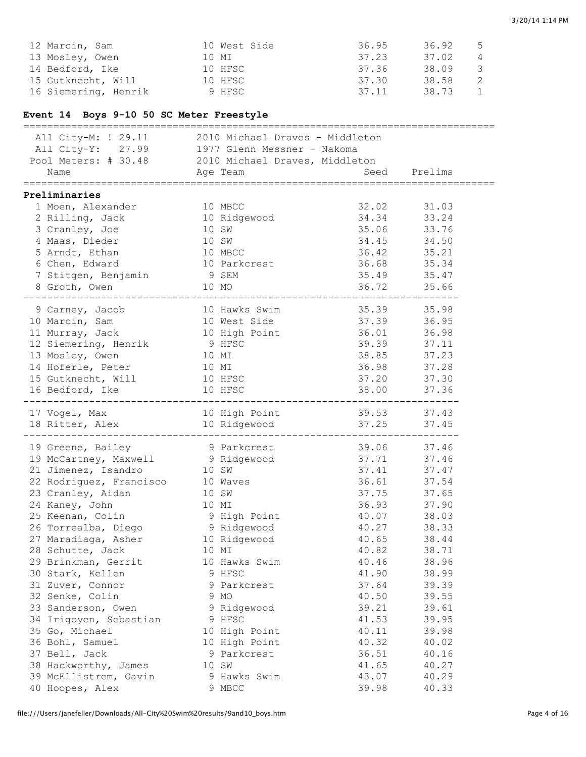| 12 Marcin, Sam       | 10 West Side | 36.95 | 36.92 | 5 |
|----------------------|--------------|-------|-------|---|
| 13 Moslev, Owen      | 10 MI        | 37.23 | 37.02 | 4 |
| 14 Bedford, Ike      | 10 HFSC      | 37.36 | 38.09 | 3 |
| 15 Gutknecht, Will   | 10 HFSC      | 37.30 | 38.58 |   |
| 16 Siemering, Henrik | 9 HFSC       | 37.11 | 38.73 |   |

## **Event 14 Boys 9-10 50 SC Meter Freestyle**

| ____________________________                                                                                                                                |       |                                         |                                 |       |  |
|-------------------------------------------------------------------------------------------------------------------------------------------------------------|-------|-----------------------------------------|---------------------------------|-------|--|
| All City-M: ! 29.11 2010 Michael Draves - Middleton<br>All City-Y: 27.99 1977 Glenn Messner - Nakoma<br>Pool Meters: # 30.48 2010 Michael Draves, Middleton |       |                                         |                                 |       |  |
| Name                                                                                                                                                        |       | Age Team and Seed Prelims               |                                 |       |  |
|                                                                                                                                                             |       |                                         |                                 |       |  |
| Preliminaries                                                                                                                                               |       |                                         |                                 |       |  |
| 1 Moen, Alexander                                                                                                                                           |       | 10 MBCC                                 | 32.02                           | 31.03 |  |
| 2 Rilling, Jack                                                                                                                                             |       | 10 Ridgewood                            | 34.34                           | 33.24 |  |
| 3 Cranley, Joe                                                                                                                                              |       | 10 SW                                   | 35.06                           | 33.76 |  |
| 4 Maas, Dieder                                                                                                                                              | 10 SW |                                         | 34.45                           | 34.50 |  |
| 5 Arndt, Ethan                                                                                                                                              |       | 10 MBCC<br>10 Parkcrest                 | 36.42                           | 35.21 |  |
| 6 Chen, Edward                                                                                                                                              |       |                                         | 36.68                           | 35.34 |  |
| 7 Stitgen, Benjamin                                                                                                                                         | 9 SEM |                                         | 35.49                           | 35.47 |  |
| 8 Groth, Owen                                                                                                                                               |       | 10 MO                                   | 36.72                           | 35.66 |  |
| . _ _ _ _ _ _ _ _ _ _ _ _ _ _ _<br>_________________________                                                                                                |       |                                         |                                 |       |  |
| 9 Carney, Jacob                                                                                                                                             |       | 10 Hawks Swim                           | 35.39 35.98                     |       |  |
| 10 Marcin, Sam                                                                                                                                              |       |                                         | 37.39                           | 36.95 |  |
| 11 Murray, Jack                                                                                                                                             |       | 10 West Side<br>10 High Point<br>9 HFSC | 36.01                           | 36.98 |  |
|                                                                                                                                                             |       |                                         | 39.39                           | 37.11 |  |
| 12 Siemering, Henrik<br>13 Mosley, Owen                                                                                                                     | 10 MI |                                         | 38.85                           | 37.23 |  |
| 14 Hoferle, Peter                                                                                                                                           | 10 MI |                                         | 36.98                           | 37.28 |  |
|                                                                                                                                                             |       | 10 HFSC                                 | 37.20                           | 37.30 |  |
| 15 Gutknecht, Will<br>16 Bedford, Ike                                                                                                                       |       | 10 HFSC                                 | 38.00 37.36                     |       |  |
|                                                                                                                                                             |       |                                         | -----------------------         |       |  |
|                                                                                                                                                             |       |                                         |                                 |       |  |
| 17 Vogel, Max 10 High Point 39.53 37.43<br>18 Ritter, Alex 10 Ridgewood 37.25 37.45                                                                         |       |                                         |                                 |       |  |
|                                                                                                                                                             |       |                                         | ------------------------------- |       |  |
| 19 Greene, Bailey                                                                                                                                           |       | 9 Parkcrest                             | 39.06 37.46                     |       |  |
| 19 McCartney, Maxwell 9 Ridgewood<br>21 Jimenez, Isandro 10 SW                                                                                              |       |                                         | 37.71                           | 37.46 |  |
| 21 Jimenez, Isandro                                                                                                                                         | 10 SW |                                         | 37.41                           | 37.47 |  |
| 22 Rodriguez, Francisco di Maves                                                                                                                            |       |                                         | 36.61                           | 37.54 |  |
| 23 Cranley, Aidan                                                                                                                                           | 10 SW |                                         | 37.75                           | 37.65 |  |
|                                                                                                                                                             |       |                                         | 36.93                           | 37.90 |  |
|                                                                                                                                                             |       |                                         | 40.07                           | 38.03 |  |
|                                                                                                                                                             |       |                                         | 40.27                           | 38.33 |  |
| 24 Kaney, John 10 MI<br>25 Keenan, Colin 9 High Point<br>26 Torrealba, Diego 9 Ridgewood<br>27 Maradiaga, Asher 10 Ridgewood                                |       |                                         | 40.65                           | 38.44 |  |
| 28 Schutte, Jack                                                                                                                                            |       | 10 MI                                   | 40.82                           | 38.71 |  |
| 29 Brinkman, Gerrit                                                                                                                                         |       | 10 Hawks Swim                           | 40.46                           | 38.96 |  |
| 30 Stark, Kellen                                                                                                                                            |       | 9 HFSC                                  | 41.90                           | 38.99 |  |
| 31 Zuver, Connor                                                                                                                                            |       | 9 Parkcrest                             | 37.64                           | 39.39 |  |
| 32 Senke, Colin                                                                                                                                             |       | 9 MO                                    | 40.50                           | 39.55 |  |
| 33 Sanderson, Owen                                                                                                                                          |       | 9 Ridgewood                             | 39.21                           | 39.61 |  |
| 34 Irigoyen, Sebastian                                                                                                                                      |       | 9 HFSC                                  | 41.53                           | 39.95 |  |
| 35 Go, Michael                                                                                                                                              |       | 10 High Point                           | 40.11                           | 39.98 |  |
| 36 Bohl, Samuel                                                                                                                                             |       | 10 High Point                           | 40.32                           | 40.02 |  |
| 37 Bell, Jack                                                                                                                                               |       | 9 Parkcrest                             | 36.51                           | 40.16 |  |
| 38 Hackworthy, James                                                                                                                                        |       | 10 SW                                   | 41.65                           | 40.27 |  |
| 39 McEllistrem, Gavin                                                                                                                                       |       | 9 Hawks Swim                            | 43.07                           | 40.29 |  |
| 40 Hoopes, Alex                                                                                                                                             |       | 9 MBCC                                  | 39.98                           | 40.33 |  |
|                                                                                                                                                             |       |                                         |                                 |       |  |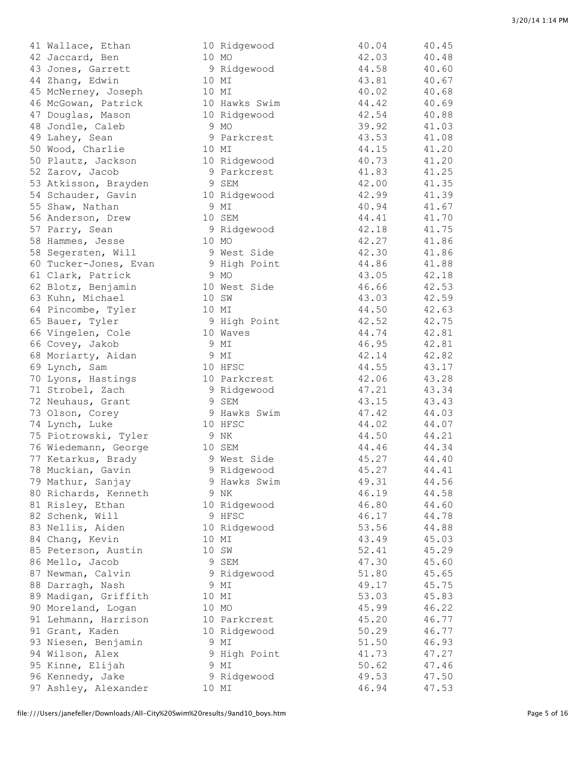|    | 41 Wallace, Ethan     |
|----|-----------------------|
|    | 42 Jaccard, Ben       |
|    | 43 Jones, Garrett     |
|    | 44 Zhang, Edwin       |
|    | 45 McNerney, Joseph   |
|    | 46 McGowan, Patrick   |
|    | 47 Douglas, Mason     |
|    | 48 Jondle, Caleb      |
|    | 49 Lahey, Sean        |
|    | 50 Wood, Charlie      |
|    | 50 Plautz, Jackson    |
|    | 52 Zarov, Jacob       |
|    | 53 Atkisson, Brayden  |
|    | 54 Schauder, Gavin    |
|    | 55 Shaw, Nathan       |
|    | 56 Anderson, Drew     |
|    | 57 Parry, Sean        |
|    | 58 Hammes, Jesse      |
|    | 58 Segersten, Will    |
|    | 60 Tucker-Jones, Evan |
|    | 61 Clark, Patrick     |
|    | 62 Blotz, Benjamin    |
|    | 63 Kuhn, Michael      |
|    | 64 Pincombe, Tyler    |
|    | 65 Bauer, Tyler       |
|    | 66 Vingelen, Cole     |
|    | 66 Covey, Jakob       |
|    | 68 Moriarty, Aidan    |
|    | 69 Lynch, Sam         |
|    | 70 Lyons, Hastings    |
|    | 71 Strobel, Zach      |
|    | 72 Neuhaus, Grant     |
|    | 73 Olson, Corey       |
|    | 74 Lynch, Luke        |
|    | 75 Piotrowski, Tyler  |
|    | 76 Wiedemann, George  |
|    | 77 Ketarkus, Brady    |
| 78 | Muckian, Gavin        |
|    | 79 Mathur, Sanjay     |
|    | 80 Richards, Kenneth  |
|    | 81 Risley, Ethan      |
|    | 82 Schenk, Will       |
|    | 83 Nellis, Aiden      |
|    | 84 Chang, Kevin       |
|    | 85 Peterson, Austin   |
|    | 86 Mello, Jacob       |
|    | 87 Newman, Calvin     |
|    | 88 Darragh, Nash      |
|    | 89 Madigan, Griffith  |
| 90 | Moreland, Logan       |
| 91 | Lehmann, Harrison     |
|    | 91 Grant, Kaden       |
|    | 93 Niesen, Benjamin   |
|    | 94 Wilson, Alex       |
|    | 95 Kinne, Elijah      |
|    | 96 Kennedy, Jake      |

| 41 Wallace, Ethan     |       | 10 Ridgewood  | 40.04 | 40.45 |
|-----------------------|-------|---------------|-------|-------|
| 42 Jaccard, Ben       | 10 MO |               | 42.03 | 40.48 |
|                       |       |               | 44.58 | 40.60 |
| 43 Jones, Garrett     |       | 9 Ridgewood   |       |       |
| 44 Zhang, Edwin       | 10 MI |               | 43.81 | 40.67 |
| 45 McNerney, Joseph   | 10 MI |               | 40.02 | 40.68 |
| 46 McGowan, Patrick   |       | 10 Hawks Swim | 44.42 | 40.69 |
| 47 Douglas, Mason     |       | 10 Ridgewood  | 42.54 | 40.88 |
| 48 Jondle, Caleb      |       | 9 MO          | 39.92 | 41.03 |
| 49 Lahey, Sean        |       | 9 Parkcrest   | 43.53 | 41.08 |
| 50 Wood, Charlie      | 10 MI |               | 44.15 | 41.20 |
| 50 Plautz, Jackson    |       | 10 Ridgewood  | 40.73 | 41.20 |
| 52 Zarov, Jacob       |       | 9 Parkcrest   | 41.83 | 41.25 |
| 53 Atkisson, Brayden  |       | 9 SEM         | 42.00 | 41.35 |
| 54 Schauder, Gavin    |       | 10 Ridgewood  | 42.99 | 41.39 |
| 55 Shaw, Nathan       |       | 9 MI          | 40.94 | 41.67 |
| 56 Anderson, Drew     |       | 10 SEM        | 44.41 | 41.70 |
| 57 Parry, Sean        |       | 9 Ridgewood   | 42.18 | 41.75 |
| 58 Hammes, Jesse      | 10 MO |               | 42.27 | 41.86 |
| 58 Segersten, Will    |       | 9 West Side   | 42.30 | 41.86 |
|                       |       |               |       |       |
| 60 Tucker-Jones, Evan |       | 9 High Point  | 44.86 | 41.88 |
| 61 Clark, Patrick     |       | 9 MO          | 43.05 | 42.18 |
| 62 Blotz, Benjamin    |       | 10 West Side  | 46.66 | 42.53 |
| 63 Kuhn, Michael      | 10 SW |               | 43.03 | 42.59 |
| 64 Pincombe, Tyler    | 10 MI |               | 44.50 | 42.63 |
| 65 Bauer, Tyler       |       | 9 High Point  | 42.52 | 42.75 |
| 66 Vingelen, Cole     |       | 10 Waves      | 44.74 | 42.81 |
| 66 Covey, Jakob       |       | 9 MI          | 46.95 | 42.81 |
| 68 Moriarty, Aidan    |       | 9 MI          | 42.14 | 42.82 |
| 69 Lynch, Sam         |       | 10 HFSC       | 44.55 | 43.17 |
| 70 Lyons, Hastings    |       | 10 Parkcrest  | 42.06 | 43.28 |
| 71 Strobel, Zach      |       | 9 Ridgewood   | 47.21 | 43.34 |
| 72 Neuhaus, Grant     |       | 9 SEM         | 43.15 | 43.43 |
| 73 Olson, Corey       |       | 9 Hawks Swim  | 47.42 | 44.03 |
| 74 Lynch, Luke        |       | 10 HFSC       | 44.02 | 44.07 |
|                       |       |               |       |       |
| 75 Piotrowski, Tyler  |       | 9 NK          | 44.50 | 44.21 |
| 76 Wiedemann, George  |       | 10 SEM        | 44.46 | 44.34 |
| 77 Ketarkus, Brady    |       | 9 West Side   | 45.27 | 44.40 |
| 78 Muckian, Gavin     |       | 9 Ridgewood   | 45.27 | 44.41 |
| 79 Mathur, Sanjay     |       | 9 Hawks Swim  | 49.31 | 44.56 |
| 80 Richards, Kenneth  |       | 9 NK          | 46.19 | 44.58 |
| 81 Risley, Ethan      |       | 10 Ridgewood  | 46.80 | 44.60 |
| 82 Schenk, Will       |       | 9 HFSC        | 46.17 | 44.78 |
| 83 Nellis, Aiden      |       | 10 Ridgewood  | 53.56 | 44.88 |
| 84 Chang, Kevin       | 10 MI |               | 43.49 | 45.03 |
| 85 Peterson, Austin   |       | 10 SW         | 52.41 | 45.29 |
| 86 Mello, Jacob       |       | 9 SEM         | 47.30 | 45.60 |
| 87 Newman, Calvin     |       | 9 Ridgewood   | 51.80 | 45.65 |
| 88 Darragh, Nash      |       | 9 MI          | 49.17 | 45.75 |
| 89 Madigan, Griffith  | 10 MI |               | 53.03 | 45.83 |
| 90 Moreland, Logan    | 10 MO |               | 45.99 | 46.22 |
|                       |       | 10 Parkcrest  |       |       |
| 91 Lehmann, Harrison  |       |               | 45.20 | 46.77 |
| 91 Grant, Kaden       |       | 10 Ridgewood  | 50.29 | 46.77 |
| 93 Niesen, Benjamin   |       | 9 MI          | 51.50 | 46.93 |
| 94 Wilson, Alex       |       | 9 High Point  | 41.73 | 47.27 |
| 95 Kinne, Elijah      |       | 9 MI          | 50.62 | 47.46 |
| 96 Kennedy, Jake      |       | 9 Ridgewood   | 49.53 | 47.50 |
| 97 Ashley, Alexander  | 10 MI |               | 46.94 | 47.53 |
|                       |       |               |       |       |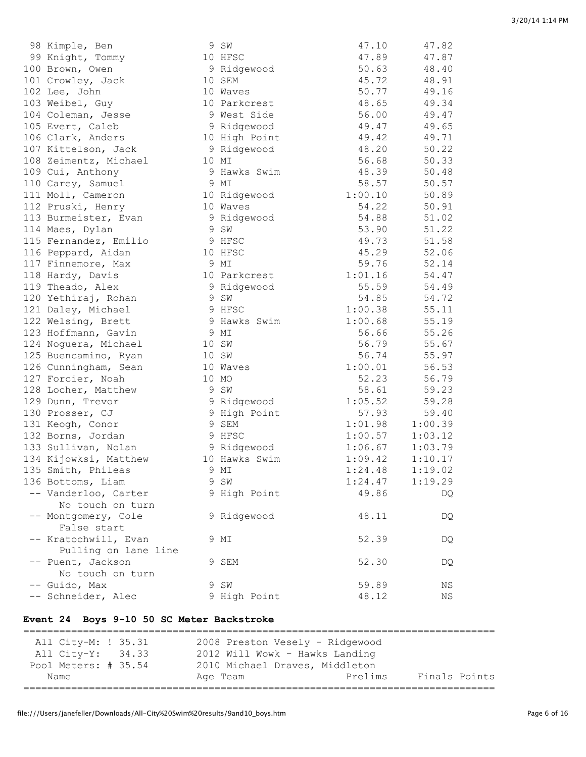| 98 Kimple, Ben        | 9 SW          | 47.10   | 47.82   |
|-----------------------|---------------|---------|---------|
| 99 Knight, Tommy      | 10 HFSC       | 47.89   | 47.87   |
| 100 Brown, Owen       | 9 Ridgewood   | 50.63   | 48.40   |
| 101 Crowley, Jack     | 10 SEM        | 45.72   | 48.91   |
| 102 Lee, John         | 10 Waves      | 50.77   | 49.16   |
| 103 Weibel, Guy       | 10 Parkcrest  | 48.65   | 49.34   |
| 104 Coleman, Jesse    | 9 West Side   | 56.00   | 49.47   |
| 105 Evert, Caleb      | 9 Ridgewood   | 49.47   | 49.65   |
| 106 Clark, Anders     | 10 High Point | 49.42   | 49.71   |
| 107 Kittelson, Jack   | 9 Ridgewood   | 48.20   | 50.22   |
| 108 Zeimentz, Michael | 10 MI         | 56.68   | 50.33   |
| 109 Cui, Anthony      | 9 Hawks Swim  | 48.39   | 50.48   |
| 110 Carey, Samuel     | 9 MI          | 58.57   | 50.57   |
| 111 Moll, Cameron     | 10 Ridgewood  | 1:00.10 | 50.89   |
| 112 Pruski, Henry     | 10 Waves      | 54.22   | 50.91   |
| 113 Burmeister, Evan  | 9 Ridgewood   | 54.88   | 51.02   |
| 114 Maes, Dylan       | 9 SW          | 53.90   | 51.22   |
| 115 Fernandez, Emilio | 9 HFSC        | 49.73   | 51.58   |
| 116 Peppard, Aidan    | 10 HFSC       | 45.29   | 52.06   |
| 117 Finnemore, Max    | 9 MI          | 59.76   | 52.14   |
| 118 Hardy, Davis      | 10 Parkcrest  | 1:01.16 | 54.47   |
| 119 Theado, Alex      | 9 Ridgewood   | 55.59   | 54.49   |
| 120 Yethiraj, Rohan   | 9 SW          | 54.85   | 54.72   |
| 121 Daley, Michael    | 9 HFSC        | 1:00.38 | 55.11   |
| 122 Welsing, Brett    | 9 Hawks Swim  | 1:00.68 | 55.19   |
| 123 Hoffmann, Gavin   | 9 MI          | 56.66   | 55.26   |
| 124 Noguera, Michael  | 10 SW         | 56.79   | 55.67   |
|                       | 10 SW         | 56.74   | 55.97   |
| 125 Buencamino, Ryan  | 10 Waves      | 1:00.01 |         |
| 126 Cunningham, Sean  |               |         | 56.53   |
| 127 Forcier, Noah     | 10 MO         | 52.23   | 56.79   |
| 128 Locher, Matthew   | 9 SW          | 58.61   | 59.23   |
| 129 Dunn, Trevor      | 9 Ridgewood   | 1:05.52 | 59.28   |
| 130 Prosser, CJ       | 9 High Point  | 57.93   | 59.40   |
| 131 Keogh, Conor      | 9 SEM         | 1:01.98 | 1:00.39 |
| 132 Borns, Jordan     | 9 HFSC        | 1:00.57 | 1:03.12 |
| 133 Sullivan, Nolan   | 9 Ridgewood   | 1:06.67 | 1:03.79 |
| 134 Kijowksi, Matthew | 10 Hawks Swim | 1:09.42 | 1:10.17 |
| 135 Smith, Phileas    | 9 MI          | 1:24.48 | 1:19.02 |
| 136 Bottoms, Liam     | 9 SW          | 1:24.47 | 1:19.29 |
| -- Vanderloo, Carter  | 9 High Point  | 49.86   | DQ      |
| No touch on turn      |               |         |         |
| -- Montgomery, Cole   | 9 Ridgewood   | 48.11   | DQ      |
| False start           |               |         |         |
| -- Kratochwill, Evan  | 9 MI          | 52.39   | DQ      |
| Pulling on lane line  |               |         |         |
| -- Puent, Jackson     | 9 SEM         | 52.30   | DQ      |
| No touch on turn      |               |         |         |
| -- Guido, Max         | 9 SW          | 59.89   | ΝS      |
| -- Schneider, Alec    | 9 High Point  | 48.12   | ΝS      |

### **Event 24 Boys 9-10 50 SC Meter Backstroke**

=============================================================================== All City-M: ! 35.31 2008 Preston Vesely - Ridgewood All City-Y: 34.33 2012 Will Wowk - Hawks Landing Pool Meters: # 35.54 2010 Michael Draves, Middleton Name Age Team Prelims Finals Points ===============================================================================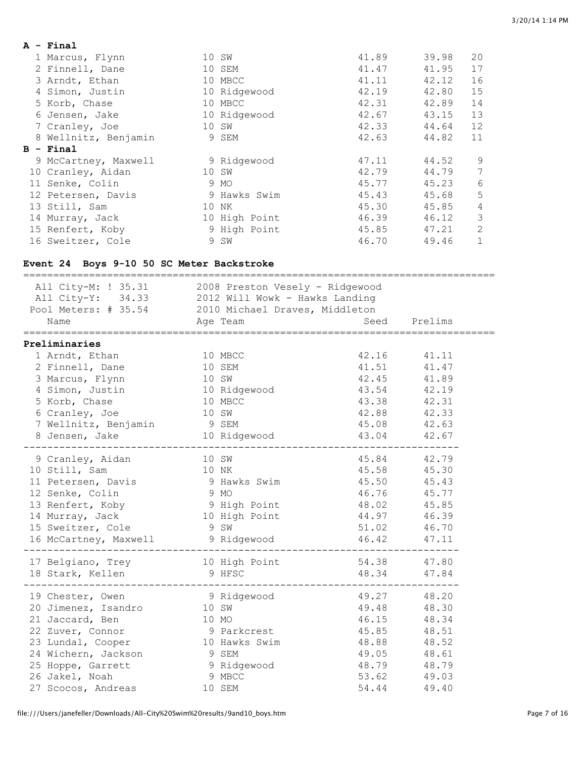| A - Final            |               |       |       |    |
|----------------------|---------------|-------|-------|----|
| 1 Marcus, Flynn      | 10 SW         | 41.89 | 39.98 | 20 |
| 2 Finnell, Dane      | 10 SEM        | 41.47 | 41.95 | 17 |
| 3 Arndt, Ethan       | 10 MBCC       | 41.11 | 42.12 | 16 |
| 4 Simon, Justin      | 10 Ridgewood  | 42.19 | 42.80 | 15 |
| 5 Korb, Chase        | 10 MBCC       | 42.31 | 42.89 | 14 |
| 6 Jensen, Jake       | 10 Ridgewood  | 42.67 | 43.15 | 13 |
| 7 Cranley, Joe       | 10 SW         | 42.33 | 44.64 | 12 |
| 8 Wellnitz, Benjamin | 9 SEM         | 42.63 | 44.82 | 11 |
| $B - Final$          |               |       |       |    |
| 9 McCartney, Maxwell | 9 Ridgewood   | 47.11 | 44.52 | 9  |
| 10 Cranley, Aidan    | 10 SW         | 42.79 | 44.79 | 7  |
| 11 Senke, Colin      | 9 MO          | 45.77 | 45.23 | 6  |
| 12 Petersen, Davis   | 9 Hawks Swim  | 45.43 | 45.68 | 5  |
| 13 Still, Sam        | 10 NK         | 45.30 | 45.85 | 4  |
| 14 Murray, Jack      | 10 High Point | 46.39 | 46.12 | 3  |
| 15 Renfert, Koby     | 9 High Point  | 45.85 | 47.21 | 2  |
| 16 Sweitzer, Cole    | 9 SW          | 46.70 | 49.46 | 1  |

### **Event 24 Boys 9-10 50 SC Meter Backstroke**

| All City-M: ! 35.31<br>All City-Y: 34.33 2012 Will Wowk - Hawks Landing<br>Pool Meters: # 35.54 2010 Michael Draves, Middleton |      | 2008 Preston Vesely - Ridgewood |             |              |
|--------------------------------------------------------------------------------------------------------------------------------|------|---------------------------------|-------------|--------------|
| Name<br>Age Team                                                                                                               |      |                                 |             | Seed Prelims |
|                                                                                                                                |      |                                 |             |              |
| Preliminaries                                                                                                                  |      |                                 |             |              |
| 1 Arndt, Ethan                                                                                                                 |      | 10 MBCC                         | 42.16       | 41.11        |
| 2 Finnell, Dane                                                                                                                |      | 10 SEM                          | 41.51       | 41.47        |
| 3 Marcus, Flynn                                                                                                                |      | 10 SW                           |             | 42.45 41.89  |
| 4 Simon, Justin                                                                                                                |      | 10 Ridgewood                    | 43.54 42.19 |              |
| 5 Korb, Chase<br>10 MBCC                                                                                                       |      |                                 | 43.38 42.31 |              |
| 6 Cranley, Joe                                                                                                                 |      | 10 SW                           |             | 42.88 42.33  |
| 7 Wellnitz, Benjamin 9 SEM                                                                                                     |      |                                 |             | 45.08 42.63  |
| 8 Jensen, Jake                                                                                                                 |      | 10 Ridgewood                    |             | 43.04 42.67  |
|                                                                                                                                |      |                                 |             |              |
| 9 Cranley, Aidan<br>10 SW                                                                                                      |      |                                 |             | 45.84 42.79  |
| 10 Still, Sam<br>10 NK                                                                                                         |      |                                 | 45.58 45.30 |              |
| 11 Petersen, Davis 9 Hawks Swim                                                                                                |      |                                 | 45.50 45.43 |              |
| 12 Senke, Colin                                                                                                                | 9 MO |                                 | 46.76 45.77 |              |
| 13 Renfert, Koby 3 9 High Point 48.02 45.85                                                                                    |      |                                 |             |              |
| 14 Murray, Jack                                                                                                                |      | 10 High Point<br>44.97 46.39    |             |              |
| 15 Sweitzer, Cole                                                                                                              |      | 9 SW                            |             | 51.02 46.70  |
| 16 McCartney, Maxwell                                                                                                          |      | 9 Ridgewood                     |             | 46.42 47.11  |
|                                                                                                                                |      |                                 |             |              |
| 17 Belgiano, Trey 10 High Point                                                                                                |      |                                 |             | 54.38 47.80  |
| 18 Stark, Kellen                                                                                                               |      | 9 HFSC                          | 48.34       | 47.84        |
|                                                                                                                                |      |                                 |             |              |
| 19 Chester, Owen                                                                                                               |      | 9 Ridgewood                     | 49.27       | 48.20        |
| 20 Jimenez, Isandro                                                                                                            |      | 10 SW                           | 49.48       | 48.30        |
| 21 Jaccard, Ben                                                                                                                |      | 10 MO                           | 46.15       | 48.34        |
| 22 Zuver, Connor                                                                                                               |      | 9 Parkcrest                     | 45.85       | 48.51        |
| 23 Lundal, Cooper                                                                                                              |      | 10 Hawks Swim                   | 48.88       | 48.52        |
| 24 Wichern, Jackson                                                                                                            |      | 9 SEM                           | 49.05       | 48.61        |
| 25 Hoppe, Garrett                                                                                                              |      |                                 | 48.79       | 48.79        |
| 26 Jakel, Noah                                                                                                                 |      | 9 Ridgewood<br>9 MBCC           | 53.62       | 49.03        |
| 27 Scocos, Andreas                                                                                                             |      | 10 SEM                          | 54.44       | 49.40        |
|                                                                                                                                |      |                                 |             |              |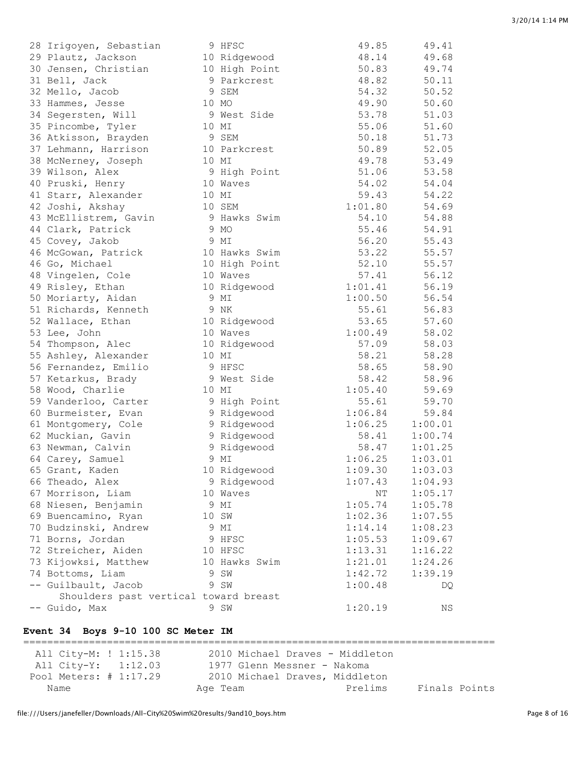| 28 Irigoyen, Sebastian                      | 9 HFSC                     | 49.85          | 49.41   |
|---------------------------------------------|----------------------------|----------------|---------|
| 29 Plautz, Jackson                          | 10 Ridgewood               | 48.14          | 49.68   |
| 30 Jensen, Christian                        | 10 High Point              | 50.83          | 49.74   |
| 31 Bell, Jack                               | 9 Parkcrest                | 48.82          | 50.11   |
| 32 Mello, Jacob                             | 9 SEM                      | 54.32          | 50.52   |
| 33 Hammes, Jesse                            | 10 MO                      | 49.90          | 50.60   |
| 34 Segersten, Will                          | 9 West Side                | 53.78          | 51.03   |
| 35 Pincombe, Tyler                          | 10 MI                      | 55.06          | 51.60   |
| 36 Atkisson, Brayden                        | 9 SEM                      | 50.18          | 51.73   |
| 37 Lehmann, Harrison                        | 10 Parkcrest               | 50.89          | 52.05   |
| 38 McNerney, Joseph                         | 10 MI                      | 49.78          | 53.49   |
| 39 Wilson, Alex                             | 9 High Point               | 51.06          | 53.58   |
| 40 Pruski, Henry                            | 10 Waves                   | 54.02          | 54.04   |
| 41 Starr, Alexander                         | 10 MI                      | 59.43          | 54.22   |
| 42 Joshi, Akshay                            | 10 SEM                     | 1:01.80        | 54.69   |
| 43 McEllistrem, Gavin                       | 9 Hawks Swim               | 54.10          | 54.88   |
| 44 Clark, Patrick                           | 9 MO                       | 55.46          | 54.91   |
| 45 Covey, Jakob                             | 9 MI                       | 56.20          | 55.43   |
| 46 McGowan, Patrick                         | 10 Hawks Swim              | 53.22          | 55.57   |
| 46 Go, Michael                              | 10 High Point              | 52.10          | 55.57   |
| 48 Vingelen, Cole                           | 10 Waves                   | 57.41          | 56.12   |
| 49 Risley, Ethan                            | 10 Ridgewood               | 1:01.41        | 56.19   |
| 50 Moriarty, Aidan                          | 9 MI                       | 1:00.50        | 56.54   |
| 51 Richards, Kenneth                        | 9 NK                       | 55.61          | 56.83   |
| 52 Wallace, Ethan                           | 10 Ridgewood               | 53.65          | 57.60   |
| 53 Lee, John                                | 10 Waves                   | 1:00.49        | 58.02   |
| 54 Thompson, Alec                           | 10 Ridgewood               | 57.09          | 58.03   |
| 55 Ashley, Alexander                        | 10 MI                      | 58.21          | 58.28   |
| 56 Fernandez, Emilio                        | 9 HFSC                     | 58.65          | 58.90   |
|                                             | 9 West Side                | 58.42          | 58.96   |
| 57 Ketarkus, Brady                          | 10 MI                      | 1:05.40        | 59.69   |
| 58 Wood, Charlie                            |                            | 55.61          |         |
| 59 Vanderloo, Carter<br>60 Burmeister, Evan | 9 High Point               | 1:06.84        | 59.70   |
|                                             | 9 Ridgewood<br>9 Ridgewood |                | 59.84   |
| 61 Montgomery, Cole                         |                            | 1:06.25        | 1:00.01 |
| 62 Muckian, Gavin                           | 9 Ridgewood                | 58.41<br>58.47 | 1:00.74 |
| 63 Newman, Calvin                           | 9 Ridgewood<br>9 MI        |                | 1:01.25 |
| 64 Carey, Samuel                            |                            | 1:06.25        | 1:03.01 |
| 65 Grant, Kaden                             | 10 Ridgewood               | 1:09.30        | 1:03.03 |
| 66 Theado, Alex                             | 9 Ridgewood                | 1:07.43        | 1:04.93 |
| 67 Morrison, Liam                           | 10 Waves                   | NT             | 1:05.17 |
| 68 Niesen, Benjamin                         | 9 MI                       | 1:05.74        | 1:05.78 |
| 69 Buencamino, Ryan                         | 10 SW                      | 1:02.36        | 1:07.55 |
| 70 Budzinski, Andrew                        | 9 MI                       | 1:14.14        | 1:08.23 |
| 71 Borns, Jordan                            | 9 HFSC                     | 1:05.53        | 1:09.67 |
| 72 Streicher, Aiden                         | 10 HFSC                    | 1:13.31        | 1:16.22 |
| 73 Kijowksi, Matthew                        | 10 Hawks Swim              | 1:21.01        | 1:24.26 |
| 74 Bottoms, Liam                            | 9 SW                       | 1:42.72        | 1:39.19 |
| -- Guilbault, Jacob                         | 9 SW                       | 1:00.48        | DQ.     |
| Shoulders past vertical toward breast       |                            |                |         |
| -- Guido, Max                               | 9 SW                       | 1:20.19        | ΝS      |

### **Event 34 Boys 9-10 100 SC Meter IM**

=============================================================================== All City-M: ! 1:15.38 2010 Michael Draves - Middleton All City-Y: 1:12.03 1977 Glenn Messner - Nakoma Pool Meters: # 1:17.29 2010 Michael Draves, Middleton Name Age Team Prelims Finals Points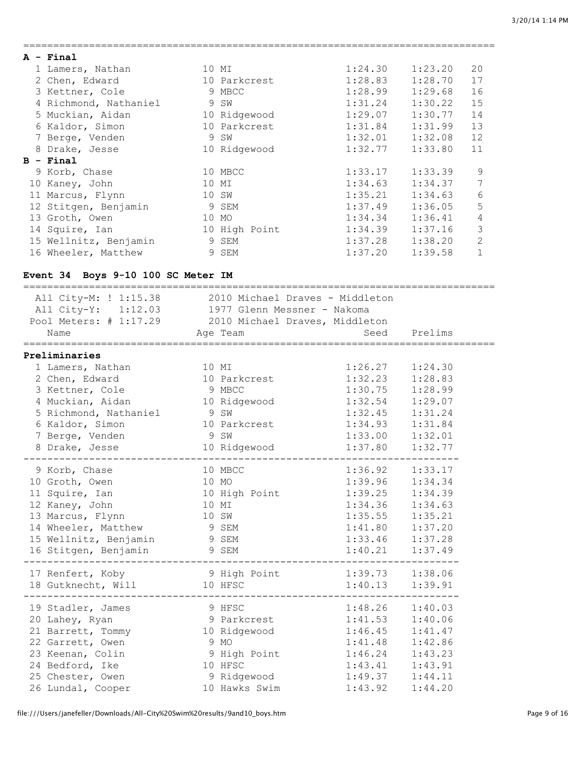| $A - Final$           |       |               |         |         |                 |
|-----------------------|-------|---------------|---------|---------|-----------------|
| 1 Lamers, Nathan      |       | 10 MI         | 1:24.30 | 1:23.20 | 20              |
| 2 Chen, Edward        |       | 10 Parkcrest  | 1:28.83 | 1:28.70 | 17              |
| 3 Kettner, Cole       |       | 9 MBCC        | 1:28.99 | 1:29.68 | 16              |
| 4 Richmond, Nathaniel |       | 9 SW          | 1:31.24 | 1:30.22 | 15              |
| 5 Muckian, Aidan      |       | 10 Ridgewood  | 1:29.07 | 1:30.77 | 14              |
| 6 Kaldor, Simon       |       | 10 Parkcrest  | 1:31.84 | 1:31.99 | 13              |
| 7 Berge, Venden       |       | 9 SW          | 1:32.01 | 1:32.08 | 12              |
| 8 Drake, Jesse        |       | 10 Ridgewood  | 1:32.77 | 1:33.80 | 11              |
|                       |       |               |         |         |                 |
| $B - Final$           |       |               |         |         |                 |
| 9 Korb, Chase         |       | 10 MBCC       | 1:33.17 | 1:33.39 | 9               |
| 10 Kaney, John        | 10 MI |               | 1:34.63 | 1:34.37 | 7               |
| 11 Marcus, Flynn      | 10 SW |               | 1:35.21 | 1:34.63 | $6\phantom{.}6$ |
| 12 Stitgen, Benjamin  |       | 9 SEM         | 1:37.49 | 1:36.05 | 5               |
| 13 Groth, Owen        | 10 MO |               | 1:34.34 | 1:36.41 | 4               |
| 14 Squire, Ian        |       | 10 High Point | 1:34.39 | 1:37.16 | 3               |
| 15 Wellnitz, Benjamin |       | 9 SEM         | 1:37.28 | 1:38.20 | 2               |

===============================================================================

### **Event 34 Boys 9-10 100 SC Meter IM**

| All City-M: ! 1:15.38 2010 Michael Draves - Middleton<br>All City-Y: 1:12.03 1977 Glenn Messner - Nakoma<br>Pool Meters: # 1:17.29 2010 Michael Draves, Middleton |                              |                        |         |
|-------------------------------------------------------------------------------------------------------------------------------------------------------------------|------------------------------|------------------------|---------|
| Name                                                                                                                                                              | Age Team                     | <b>Seed</b>            | Prelims |
| ==================                                                                                                                                                |                              |                        |         |
| Preliminaries                                                                                                                                                     |                              |                        |         |
| 1 Lamers, Nathan                                                                                                                                                  | 10 MI                        | 1:26.27                | 1:24.30 |
| 2 Chen, Edward                                                                                                                                                    | 10 Parkcrest                 | 1:32.23                | 1:28.83 |
| 3 Kettner, Cole                                                                                                                                                   | 9 MBCC                       | 1:30.75                | 1:28.99 |
| 4 Muckian, Aidan 10 Ridgewood                                                                                                                                     |                              | 1:32.54                | 1:29.07 |
| 5 Richmond, Nathaniel 9 SW                                                                                                                                        |                              | 1:32.45                | 1:31.24 |
| 6 Kaldor, Simon                                                                                                                                                   | 10 Parkcrest                 |                        | 1:31.84 |
| 7 Berge, Venden                                                                                                                                                   | 9 SW                         | $1:34.93$<br>$1:33.00$ | 1:32.01 |
| 8 Drake, Jesse                                                                                                                                                    | 10 Ridgewood                 | 1:37.80                | 1:32.77 |
|                                                                                                                                                                   | -------------                |                        |         |
| 9 Korb, Chase                                                                                                                                                     | 10 MBCC                      | 1:36.92                | 1:33.17 |
| 10 Groth, Owen                                                                                                                                                    | 10 MO                        | 1:39.96                | 1:34.34 |
| 11 Squire, Ian                                                                                                                                                    | 10 High Point 1:39.25        |                        | 1:34.39 |
| 12 Kaney, John                                                                                                                                                    | 10 MI                        | 1:34.36                | 1:34.63 |
| 13 Marcus, Flynn                                                                                                                                                  | 10 SW                        | 1:35.55                | 1:35.21 |
| 14 Wheeler, Matthew                                                                                                                                               | 9 SEM                        | 1:41.80                | 1:37.20 |
| 15 Wellnitz, Benjamin                                                                                                                                             | 9 SEM                        | 1:33.46                | 1:37.28 |
| 16 Stitgen, Benjamin 9 SEM                                                                                                                                        |                              | 1:40.21                | 1:37.49 |
|                                                                                                                                                                   |                              |                        |         |
| 17 Renfert, Koby                                                                                                                                                  | 9 High Point 1:39.73 1:38.06 |                        |         |
| 18 Gutknecht, Will                                                                                                                                                | 10 HFSC                      | 1:40.13                | 1:39.91 |
|                                                                                                                                                                   |                              |                        |         |
| 19 Stadler, James                                                                                                                                                 | 9 HFSC                       | $1:48.26$ $1:40.03$    |         |
| 20 Lahey, Ryan                                                                                                                                                    | 9 Parkcrest                  | 1:41.53                | 1:40.06 |
| 21 Barrett, Tommy 10 Ridgewood 1:46.45 1:41.47                                                                                                                    |                              |                        |         |
| 22 Garrett, Owen                                                                                                                                                  | 9 MO                         | 1:41.48                | 1:42.86 |
| 23 Keenan, Colin                                                                                                                                                  | 9 High Point 1:46.24         |                        | 1:43.23 |
| 24 Bedford, Ike                                                                                                                                                   | 10 HFSC                      | 1:43.41                | 1:43.91 |
| 25 Chester, Owen                                                                                                                                                  | 9 Ridgewood                  | 1:49.37                | 1:44.11 |
| 26 Lundal, Cooper                                                                                                                                                 | 10 Hawks Swim                | 1:43.92                | 1:44.20 |
|                                                                                                                                                                   |                              |                        |         |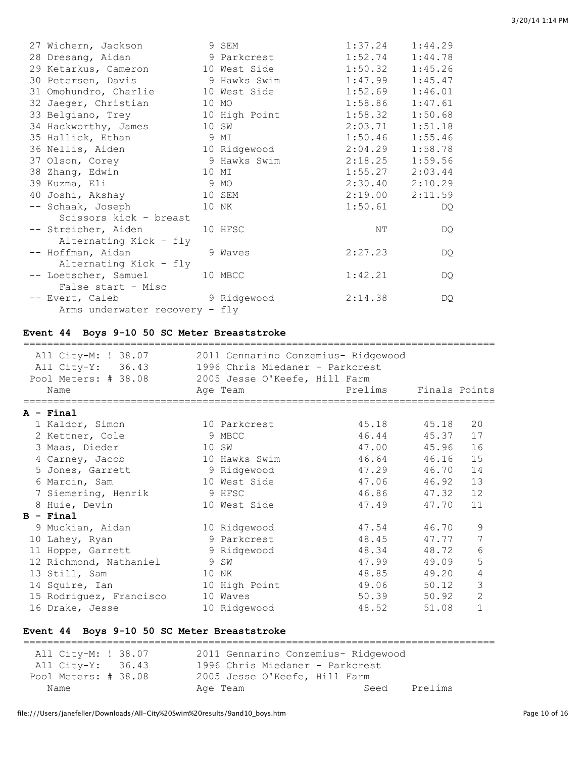| 27 Wichern, Jackson                                | 9 SEM                 | $1:37.24$ $1:44.29$ |         |
|----------------------------------------------------|-----------------------|---------------------|---------|
| 28 Dresang, Aidan 1:52.74 1:44.78                  |                       |                     |         |
| 29 Ketarkus, Cameron 10 West Side                  |                       | $1:50.32$ $1:45.26$ |         |
| 30 Petersen, Davis 30 Hawks Swim 1:47.99 1:45.47   |                       |                     |         |
| 31 Omohundro, Charlie 10 West Side 1:52.69 1:46.01 |                       |                     |         |
| 32 Jaeger, Christian 10 MO                         |                       | $1:58.86$ $1:47.61$ |         |
| 33 Belgiano, Trey                                  | 10 High Point 1:58.32 |                     | 1:50.68 |
| 34 Hackworthy, James 10 SW                         |                       | $2:03.71$ $1:51.18$ |         |
| 35 Hallick, Ethan 9 MI                             |                       | 1:50.46             | 1:55.46 |
| 36 Nellis, Aiden 10 Ridgewood                      |                       | $2:04.29$ $1:58.78$ |         |
| 37 Olson, Corey 3 Hawks Swim 2:18.25 1:59.56       |                       |                     |         |
| 38 Zhang, Edwin 10 MI                              |                       | $1:55.27$ $2:03.44$ |         |
| 39 Kuzma, Eli                                      | 9 MO                  | $2:30.40$ $2:10.29$ |         |
| 40 Joshi, Akshay 10 SEM                            |                       | $2:19.00$ $2:11.59$ |         |
| -- Schaak, Joseph 10 NK                            |                       | $1:50.61$ DQ        |         |
| Scissors kick - breast                             |                       |                     |         |
| -- Streicher, Aiden 10 HFSC                        |                       | NΤ                  | DQ.     |
| Alternating Kick - fly                             |                       |                     |         |
| -- Hoffman, Aidan 9 Waves                          |                       | 2:27.23             | DQ.     |
| Alternating Kick - fly                             |                       |                     |         |
| -- Loetscher, Samuel 10 MBCC                       |                       | 1:42.21             | DQ      |
| False start - Misc                                 |                       |                     |         |
| -- Evert, Caleb 9 Ridgewood                        |                       | 2:14.38             | DQ      |
| Arms underwater recovery - fly                     |                       |                     |         |

### **Event 44 Boys 9-10 50 SC Meter Breaststroke**

| All City-M: ! 38.07<br>All City-Y: 36.43<br>Pool Meters: # 38.08<br>Name | 2011 Gennarino Conzemius- Ridgewood<br>1996 Chris Miedaner - Parkcrest<br>2005 Jesse O'Keefe, Hill Farm<br>Age Team | Prelims Finals Points |       |                |
|--------------------------------------------------------------------------|---------------------------------------------------------------------------------------------------------------------|-----------------------|-------|----------------|
| A - Final                                                                |                                                                                                                     |                       |       |                |
| 1 Kaldor, Simon                                                          | 10 Parkcrest                                                                                                        | 45.18 45.18           |       | 20             |
| 2 Kettner, Cole                                                          | 9 MBCC                                                                                                              | 46.44                 | 45.37 | 17             |
| 3 Maas, Dieder                                                           | 10 SW                                                                                                               | 47.00 45.96           |       | 16             |
| 4 Carney, Jacob                                                          | 10 Hawks Swim                                                                                                       | 46.64 46.16           |       | 15             |
| 5 Jones, Garrett                                                         | 9 Ridgewood                                                                                                         | 47.29 46.70           |       | 14             |
| 6 Marcin, Sam                                                            | 10 West Side                                                                                                        | 47.06 46.92           |       | 13             |
| 7 Siemering, Henrik                                                      | 9 HFSC                                                                                                              | 46.86 47.32           |       | 12             |
| 8 Huie, Devin                                                            | 10 West Side                                                                                                        | 47.49                 | 47.70 | 11             |
| $B - Final$                                                              |                                                                                                                     |                       |       |                |
| 9 Muckian, Aidan                                                         | 10 Ridgewood                                                                                                        | 47.54                 | 46.70 | 9              |
| 10 Lahey, Ryan                                                           | 9 Parkcrest                                                                                                         | 48.45                 | 47.77 | 7              |
| 11 Hoppe, Garrett                                                        | 9 Ridgewood                                                                                                         | 48.34                 | 48.72 | 6              |
| 12 Richmond, Nathaniel                                                   | 9 SW                                                                                                                | 47.99                 | 49.09 | 5              |
| 13 Still, Sam                                                            | 10 NK                                                                                                               | 48.85                 | 49.20 | 4              |
| 14 Squire, Ian                                                           | 10 High Point                                                                                                       | 49.06 50.12           |       | 3              |
| 15 Rodriguez, Francisco                                                  | 10 Waves                                                                                                            | 50.39                 | 50.92 | $\overline{c}$ |
| 16 Drake, Jesse                                                          | 10 Ridgewood                                                                                                        | 48.52 51.08           |       | $\mathbf{1}$   |

### **Event 44 Boys 9-10 50 SC Meter Breaststroke**

=============================================================================== All City-M: ! 38.07 2011 Gennarino Conzemius- Ridgewood<br>All City-Y: 36.43 1996 Chris Miedaner - Parkcrest 1996 Chris Miedaner - Parkcrest Pool Meters: # 38.08 2005 Jesse O'Keefe, Hill Farm Name Reserve Age Team Seed Prelims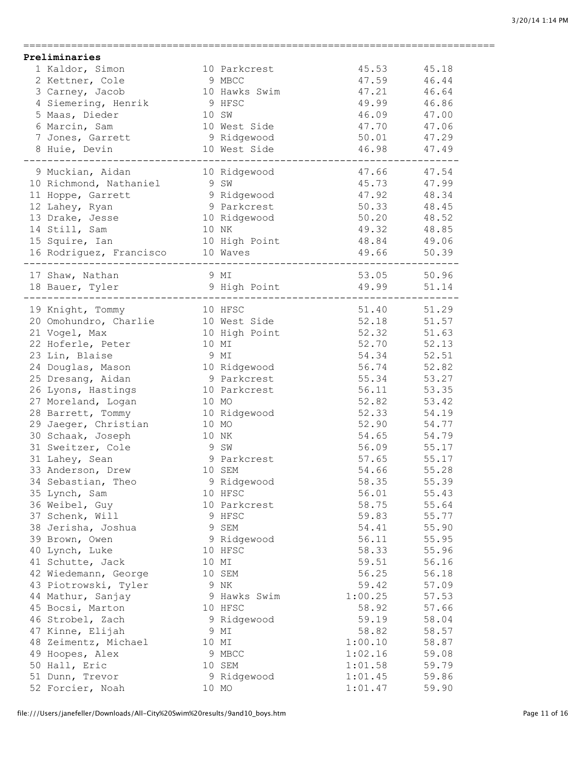| Preliminaries |                                                                                                                                                |      |                                                                                                                                                                                                                                         |                                                 |                               |
|---------------|------------------------------------------------------------------------------------------------------------------------------------------------|------|-----------------------------------------------------------------------------------------------------------------------------------------------------------------------------------------------------------------------------------------|-------------------------------------------------|-------------------------------|
|               | 1 Kaldor, Simon                                                                                                                                |      | 10 Parkcrest                                                                                                                                                                                                                            | 45.53 45.18                                     |                               |
|               | 2 Kettner, Cole                                                                                                                                |      | 9 MBCC                                                                                                                                                                                                                                  | 47.59                                           | 46.44                         |
|               | 3 Carney, Jacob                                                                                                                                |      | 10 Hawks Swim                                                                                                                                                                                                                           | 47.21                                           | 46.64                         |
|               | 4 Siemering, Henrik<br>5 Maas, Dieder<br>6 Marcin Sam                                                                                          |      | 9 HFSC                                                                                                                                                                                                                                  | $49.99$ $46.86$                                 |                               |
|               |                                                                                                                                                |      | 10 SW                                                                                                                                                                                                                                   | 46.09                                           | 47.00                         |
|               |                                                                                                                                                |      |                                                                                                                                                                                                                                         |                                                 | 47.06                         |
|               | 6 Marcin, Sam                                                                                                                                  |      | 10 West Side                                                                                                                                                                                                                            | 47.70                                           |                               |
|               |                                                                                                                                                |      |                                                                                                                                                                                                                                         | $\frac{1}{100}$ $\frac{1}{100}$ $\frac{1}{100}$ |                               |
|               | 7 Jones, Garrett<br>8 Huie, Devin 10 West Side<br>10 West Side                                                                                 |      |                                                                                                                                                                                                                                         | 46.98 47.49                                     |                               |
|               |                                                                                                                                                |      |                                                                                                                                                                                                                                         |                                                 |                               |
|               | 9 Muckian, Aidan<br>10 Richmond, Nathaniel 9 SW<br>11 Hoppe, Garrett 9 Ridgewood<br>12 Lahey, Ryan 9 Parkcrest<br>13 Drake. Jesse 10 Ridgewood |      |                                                                                                                                                                                                                                         | 47.66 47.54                                     |                               |
|               |                                                                                                                                                |      |                                                                                                                                                                                                                                         | 45.73 47.99                                     |                               |
|               |                                                                                                                                                |      |                                                                                                                                                                                                                                         |                                                 |                               |
|               |                                                                                                                                                |      |                                                                                                                                                                                                                                         |                                                 |                               |
|               |                                                                                                                                                |      |                                                                                                                                                                                                                                         |                                                 |                               |
|               | 14 Still, Sam                                                                                                                                  |      |                                                                                                                                                                                                                                         |                                                 |                               |
|               | 14 Still, Sam and the Minister of the Minister of the Minister of the Minister of the Minister of the Minister<br>15 Squire, Ian 10 High Point |      |                                                                                                                                                                                                                                         |                                                 |                               |
|               | 16 Rodriguez, Francisco 10 Waves                                                                                                               |      |                                                                                                                                                                                                                                         |                                                 |                               |
|               |                                                                                                                                                |      | 10 Richmond, Nathaniel 9 SW 45.73 47.99<br>11 Hoppe, Garrett 9 Ridgewood 47.92 48.34<br>12 Lahey, Ryan 9 Parkcrest 50.33 48.45<br>13 Drake, Jesse 10 Ridgewood 50.20 48.52<br>14 Still, Sam 10 NK 49.32 48.85<br>15 Squire, Ian 10 High |                                                 |                               |
|               | 17 Shaw, Nathan<br>9 MI                                                                                                                        |      |                                                                                                                                                                                                                                         | 53.05 50.96                                     |                               |
|               |                                                                                                                                                |      | 18 Bauer, Tyler 9 High Point 49.99 51.14                                                                                                                                                                                                |                                                 |                               |
|               |                                                                                                                                                |      |                                                                                                                                                                                                                                         |                                                 |                               |
|               | 19 Knight, Tommy 10 HFSC                                                                                                                       |      |                                                                                                                                                                                                                                         | 51.40 51.29                                     |                               |
|               | 20 Omohundro, Charlie 10 West Side<br>21 Vogel, Max 10 High Point                                                                              |      |                                                                                                                                                                                                                                         | 52.18 51.57                                     |                               |
|               |                                                                                                                                                |      |                                                                                                                                                                                                                                         | 52.32                                           | 51.63                         |
|               |                                                                                                                                                |      | 10 MI                                                                                                                                                                                                                                   | 52.70                                           | 52.13                         |
|               | 22 Hoferle, Peter<br>23 Lin, Blaise                                                                                                            | 9 MI |                                                                                                                                                                                                                                         | 54.34                                           | $52.51$<br>$52.82$<br>$53.27$ |
|               | 23 Lin, Blaise<br>24 Douglas, Mason 10 Ridgewood<br>25 Drosang Aidan 19 Parkcrest                                                              |      |                                                                                                                                                                                                                                         | 56.74                                           |                               |
|               |                                                                                                                                                |      |                                                                                                                                                                                                                                         | 55.34                                           |                               |
|               | 26 Lyons, Hastings                                                                                                                             |      | 10 Parkcrest                                                                                                                                                                                                                            | 56.11                                           | 53.35                         |
|               | 27 Moreland, Logan                                                                                                                             |      | 10 MO                                                                                                                                                                                                                                   | 52.82                                           | 53.42                         |
|               | 28 Barrett, Tommy                                                                                                                              |      | 10 Ridgewood                                                                                                                                                                                                                            | 52.33                                           | 54.19                         |
|               | 29 Jaeger, Christian                                                                                                                           |      | 10 MO                                                                                                                                                                                                                                   | 52.90                                           | 54.77                         |
|               | 30 Schaak, Joseph                                                                                                                              |      | 10 NK                                                                                                                                                                                                                                   | 54.65                                           |                               |
|               |                                                                                                                                                |      | 9 SW<br>9 Parkcrest<br>10 SEM                                                                                                                                                                                                           | 54.65<br>56.09 55.17<br>57.65 55.17<br>56.09    |                               |
|               | 31 Sweitzer, Cole                                                                                                                              |      |                                                                                                                                                                                                                                         |                                                 |                               |
|               | 31 Lahey, Sean                                                                                                                                 |      |                                                                                                                                                                                                                                         |                                                 |                               |
|               | 33 Anderson, Drew                                                                                                                              |      |                                                                                                                                                                                                                                         | 54.66                                           | 55.28                         |
|               | 34 Sebastian, Theo                                                                                                                             |      | 9 Ridgewood                                                                                                                                                                                                                             | 58.35                                           | 55.39                         |
|               | 35 Lynch, Sam                                                                                                                                  |      | 10 HFSC                                                                                                                                                                                                                                 | 56.01                                           | 55.43                         |
|               | 36 Weibel, Guy                                                                                                                                 |      | 10 Parkcrest                                                                                                                                                                                                                            | 58.75                                           | 55.64                         |
|               | 37 Schenk, Will                                                                                                                                |      | 9 HFSC                                                                                                                                                                                                                                  | 59.83                                           | 55.77                         |
|               | 38 Jerisha, Joshua                                                                                                                             |      | 9 SEM                                                                                                                                                                                                                                   | 54.41                                           | 55.90                         |
|               | 39 Brown, Owen                                                                                                                                 |      | 9 Ridgewood                                                                                                                                                                                                                             | 56.11                                           | 55.95                         |
|               | 40 Lynch, Luke                                                                                                                                 |      | 10 HFSC                                                                                                                                                                                                                                 | 58.33                                           | 55.96                         |
|               | 41 Schutte, Jack                                                                                                                               |      | 10 MI                                                                                                                                                                                                                                   | 59.51                                           | 56.16                         |
|               | 42 Wiedemann, George                                                                                                                           |      | 10 SEM                                                                                                                                                                                                                                  | 56.25                                           | 56.18                         |
|               | 43 Piotrowski, Tyler                                                                                                                           |      | 9 NK                                                                                                                                                                                                                                    | 59.42                                           | 57.09                         |
|               | 44 Mathur, Sanjay                                                                                                                              |      | 9 Hawks Swim                                                                                                                                                                                                                            | 1:00.25                                         | 57.53                         |
|               | 45 Bocsi, Marton                                                                                                                               |      | 10 HFSC                                                                                                                                                                                                                                 | 58.92                                           | 57.66                         |
|               | 46 Strobel, Zach                                                                                                                               |      | 9 Ridgewood                                                                                                                                                                                                                             | 59.19                                           | 58.04                         |
|               | 47 Kinne, Elijah                                                                                                                               |      | 9 MI                                                                                                                                                                                                                                    | 58.82                                           | 58.57                         |
|               | 48 Zeimentz, Michael                                                                                                                           |      | 10 MI                                                                                                                                                                                                                                   | 1:00.10                                         | 58.87                         |
|               |                                                                                                                                                |      |                                                                                                                                                                                                                                         |                                                 |                               |
|               | 49 Hoopes, Alex                                                                                                                                |      | 9 MBCC                                                                                                                                                                                                                                  | 1:02.16                                         | 59.08                         |
|               | 50 Hall, Eric                                                                                                                                  |      | 10 SEM                                                                                                                                                                                                                                  | 1:01.58                                         | 59.79                         |
|               | 51 Dunn, Trevor                                                                                                                                |      | 9 Ridgewood                                                                                                                                                                                                                             | 1:01.45                                         | 59.86                         |
|               | 52 Forcier, Noah                                                                                                                               |      | 10 MO                                                                                                                                                                                                                                   | 1:01.47                                         | 59.90                         |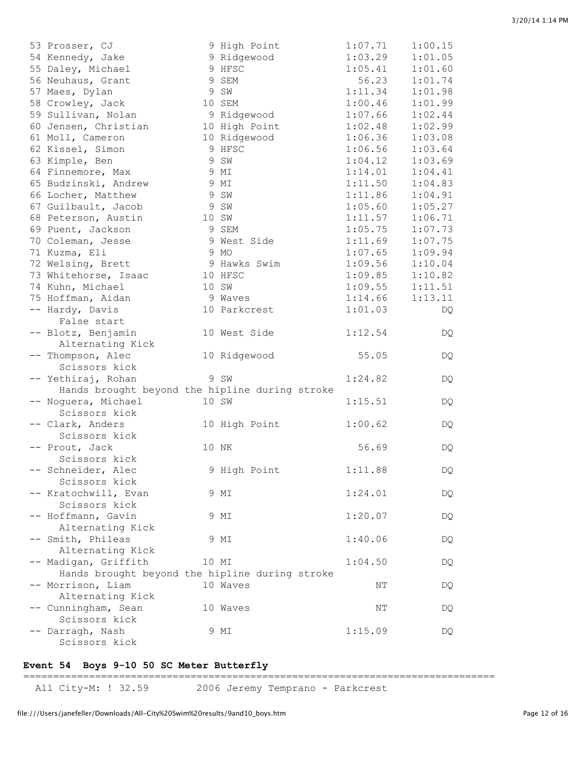| 53 Prosser, CJ                                 | 9 High Point  | 1:07.71 | 1:00.15 |
|------------------------------------------------|---------------|---------|---------|
| 54 Kennedy, Jake                               | 9 Ridgewood   | 1:03.29 | 1:01.05 |
| 55 Daley, Michael                              | 9 HFSC        | 1:05.41 | 1:01.60 |
| 56 Neuhaus, Grant                              | 9 SEM         | 56.23   | 1:01.74 |
| 57 Maes, Dylan                                 | 9 SW          | 1:11.34 | 1:01.98 |
| 58 Crowley, Jack                               | 10 SEM        | 1:00.46 | 1:01.99 |
| 59 Sullivan, Nolan                             | 9 Ridgewood   | 1:07.66 | 1:02.44 |
| 60 Jensen, Christian                           | 10 High Point | 1:02.48 | 1:02.99 |
| 61 Moll, Cameron                               | 10 Ridgewood  | 1:06.36 | 1:03.08 |
| 62 Kissel, Simon                               | 9 HFSC        | 1:06.56 | 1:03.64 |
| 63 Kimple, Ben                                 | 9 SW          | 1:04.12 | 1:03.69 |
| 64 Finnemore, Max                              | 9 MI          | 1:14.01 | 1:04.41 |
| 65 Budzinski, Andrew                           | 9 MI          | 1:11.50 | 1:04.83 |
| 66 Locher, Matthew                             | 9 SW          | 1:11.86 | 1:04.91 |
| 67 Guilbault, Jacob                            | 9 SW          | 1:05.60 | 1:05.27 |
| 68 Peterson, Austin                            | 10 SW         | 1:11.57 | 1:06.71 |
| 69 Puent, Jackson                              | 9 SEM         | 1:05.75 | 1:07.73 |
| 70 Coleman, Jesse                              | 9 West Side   | 1:11.69 | 1:07.75 |
| 71 Kuzma, Eli                                  | 9 MO          | 1:07.65 | 1:09.94 |
| 72 Welsing, Brett                              | 9 Hawks Swim  | 1:09.56 | 1:10.04 |
| 73 Whitehorse, Isaac                           | 10 HFSC       | 1:09.85 | 1:10.82 |
| 74 Kuhn, Michael                               | 10 SW         | 1:09.55 | 1:11.51 |
| 75 Hoffman, Aidan                              | 9 Waves       | 1:14.66 | 1:13.11 |
| -- Hardy, Davis                                | 10 Parkcrest  | 1:01.03 | DQ      |
| False start                                    |               |         |         |
| -- Blotz, Benjamin                             | 10 West Side  | 1:12.54 | DQ      |
| Alternating Kick                               |               |         |         |
| -- Thompson, Alec                              | 10 Ridgewood  | 55.05   | DQ      |
| Scissors kick                                  |               |         |         |
| -- Yethiraj, Rohan                             | 9 SW          | 1:24.82 | DQ      |
| Hands brought beyond the hipline during stroke |               |         |         |
| -- Noguera, Michael                            | 10 SW         | 1:15.51 | DQ      |
| Scissors kick                                  |               |         |         |
| -- Clark, Anders                               | 10 High Point | 1:00.62 | DQ      |
| Scissors kick                                  |               |         |         |
| -- Prout, Jack                                 | 10 NK         | 56.69   | DQ.     |
| Scissors kick                                  |               |         |         |
| -- Schneider, Alec                             | 9 High Point  | 1:11.88 | DQ      |
| Scissors kick                                  |               |         |         |
| -- Kratochwill, Evan                           | 9 MI          | 1:24.01 | DQ      |
| Scissors kick                                  |               |         |         |
| -- Hoffmann, Gavin                             | 9 MI          | 1:20.07 |         |
| Alternating Kick                               |               |         | DQ      |
| -- Smith, Phileas                              | 9 MI          | 1:40.06 |         |
| Alternating Kick                               |               |         | DQ      |
|                                                |               |         |         |
| -- Madigan, Griffith                           | 10 MI         | 1:04.50 | DQ      |
| Hands brought beyond the hipline during stroke | 10 Waves      |         |         |
| -- Morrison, Liam                              |               | NΤ      | DQ      |
| Alternating Kick                               |               |         |         |
| -- Cunningham, Sean<br>Scissors kick           | 10 Waves      | NT      | DQ      |
| -- Darragh, Nash                               | 9 MI          | 1:15.09 |         |
| Scissors kick                                  |               |         | DQ      |
|                                                |               |         |         |

### **Event 54 Boys 9-10 50 SC Meter Butterfly**

===============================================================================

All City-M: ! 32.59 2006 Jeremy Temprano - Parkcrest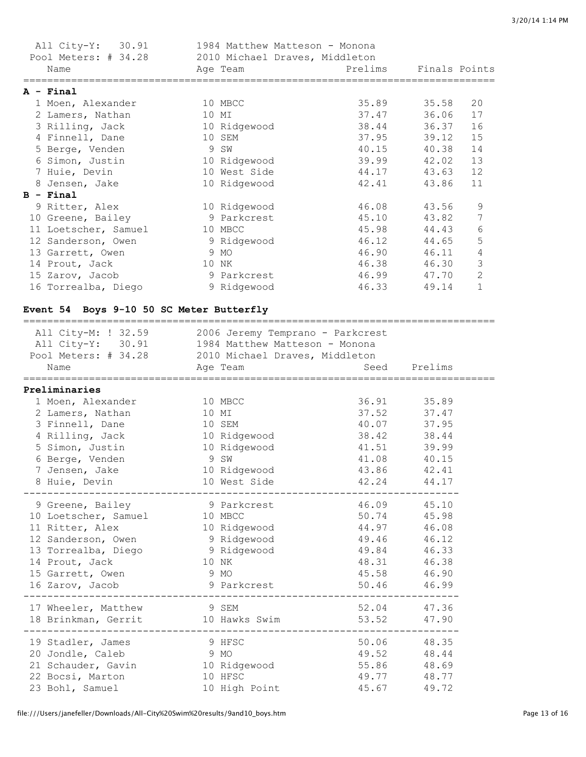| All City-Y: 30.91<br>Pool Meters: # 34.28 |   | 1984 Matthew Matteson - Monona<br>2010 Michael Draves, Middleton |                                                                                                      |               |                |
|-------------------------------------------|---|------------------------------------------------------------------|------------------------------------------------------------------------------------------------------|---------------|----------------|
| Name                                      |   | Age Team                                                         | en alternation de l'annonce de l'annonce de la partie de la partie de la partie de la partie de la p | Finals Points |                |
| A - Final                                 |   |                                                                  |                                                                                                      |               |                |
| 1 Moen, Alexander                         |   | 10 MBCC                                                          | 35.89                                                                                                | 35.58         | 20             |
| 2 Lamers, Nathan                          |   | 10 MI                                                            | 37.47                                                                                                | 36.06         | 17             |
| 3 Rilling, Jack                           |   | 10 Ridgewood                                                     | 38.44                                                                                                | 36.37         | 16             |
| 4 Finnell, Dane                           |   | 10 SEM                                                           | 37.95                                                                                                | 39.12         | 15             |
| 5 Berge, Venden                           | 9 | SW                                                               | 40.15                                                                                                | 40.38         | 14             |
| 6 Simon, Justin                           |   | 10 Ridgewood                                                     | 39.99                                                                                                | 42.02         | 13             |
| 7 Huie, Devin                             |   | 10 West Side                                                     | 44.17                                                                                                | 43.63         | 12             |
| 8 Jensen, Jake                            |   | 10 Ridgewood                                                     | 42.41                                                                                                | 43.86         | 11             |
| $B - Final$                               |   |                                                                  |                                                                                                      |               |                |
| 9 Ritter, Alex                            |   | 10 Ridgewood                                                     | 46.08                                                                                                | 43.56         | 9              |
| 10 Greene, Bailey                         |   | 9 Parkcrest                                                      | 45.10                                                                                                | 43.82         | 7              |
| 11 Loetscher, Samuel                      |   | 10 MBCC                                                          | 45.98                                                                                                | 44.43         | 6              |
| 12 Sanderson, Owen                        |   | 9 Ridgewood                                                      | 46.12                                                                                                | 44.65         | 5              |
| 13 Garrett, Owen                          |   | 9 MO                                                             | 46.90                                                                                                | 46.11         | $\overline{4}$ |
| 14 Prout, Jack                            |   | 10 NK                                                            | 46.38                                                                                                | 46.30         | 3              |
| 15 Zarov, Jacob                           |   | 9 Parkcrest                                                      | 46.99                                                                                                | 47.70         | $\overline{2}$ |
| 16 Torrealba, Diego                       |   | 9 Ridgewood                                                      | 46.33                                                                                                | 49.14         | 1              |

### **Event 54 Boys 9-10 50 SC Meter Butterfly**

| All City-M: ! 32.59 2006 Jeremy Temprano - Parkcrest<br>All City-Y: 30.91 1984 Matthew Matteson - Monona<br>Pool Meters: # 34.28 2010 Michael Draves, Middleton<br>Name<br>=============== | Age Team      |             | Seed Prelims |  |  |  |  |
|--------------------------------------------------------------------------------------------------------------------------------------------------------------------------------------------|---------------|-------------|--------------|--|--|--|--|
| Preliminaries                                                                                                                                                                              |               |             |              |  |  |  |  |
| 1 Moen, Alexander                                                                                                                                                                          | 10 MBCC       | 36.91       | 35.89        |  |  |  |  |
| 2 Lamers, Nathan                                                                                                                                                                           | 10 MI         |             | 37.52 37.47  |  |  |  |  |
| 3 Finnell, Dane                                                                                                                                                                            | 10 SEM        | 40.07 37.95 |              |  |  |  |  |
| 4 Rilling, Jack 10 Ridgewood                                                                                                                                                               |               | 38.42       | 38.44        |  |  |  |  |
| 5 Simon, Justin                                                                                                                                                                            | 10 Ridgewood  | 41.51       | 39.99        |  |  |  |  |
| 6 Berge, Venden                                                                                                                                                                            | 9 SW          | 41.08 40.15 |              |  |  |  |  |
| 7 Jensen, Jake                                                                                                                                                                             | 10 Ridgewood  | 43.86 42.41 |              |  |  |  |  |
| 8 Huie, Devin                                                                                                                                                                              | 10 West Side  | 42.24       | 44.17        |  |  |  |  |
| 9 Greene, Bailey                                                                                                                                                                           | 9 Parkcrest   | 46.09 45.10 |              |  |  |  |  |
| 10 Loetscher, Samuel 10 MBCC                                                                                                                                                               |               | 50.74       | 45.98        |  |  |  |  |
| 11 Ritter, Alex                                                                                                                                                                            | 10 Ridgewood  | 44.97       | 46.08        |  |  |  |  |
| 12 Sanderson, Owen 9 Ridgewood                                                                                                                                                             |               | 49.46 46.12 |              |  |  |  |  |
| 13 Torrealba, Diego 9 Ridgewood                                                                                                                                                            |               | 49.84       | 46.33        |  |  |  |  |
| 14 Prout, Jack                                                                                                                                                                             | 10 NK         |             | 48.31 46.38  |  |  |  |  |
| 15 Garrett, Owen                                                                                                                                                                           | 9 MO          | 45.58 46.90 |              |  |  |  |  |
| 16 Zarov, Jacob                                                                                                                                                                            | 9 Parkcrest   | 50.46 46.99 |              |  |  |  |  |
| 17 Wheeler, Matthew                                                                                                                                                                        | 9 SEM         | 52.04 47.36 |              |  |  |  |  |
| 18 Brinkman, Gerrit 10 Hawks Swim                                                                                                                                                          |               | 53.52       | 47.90        |  |  |  |  |
| 19 Stadler, James                                                                                                                                                                          | 9 HFSC        |             | 50.06 48.35  |  |  |  |  |
| 20 Jondle, Caleb                                                                                                                                                                           | 9 MO          | 49.52 48.44 |              |  |  |  |  |
| 21 Schauder, Gavin 10 Ridgewood                                                                                                                                                            |               | 55.86 48.69 |              |  |  |  |  |
| 22 Bocsi, Marton                                                                                                                                                                           | 10 HFSC       | 49.77 48.77 |              |  |  |  |  |
| 23 Bohl, Samuel                                                                                                                                                                            | 10 High Point | 45.67       | 49.72        |  |  |  |  |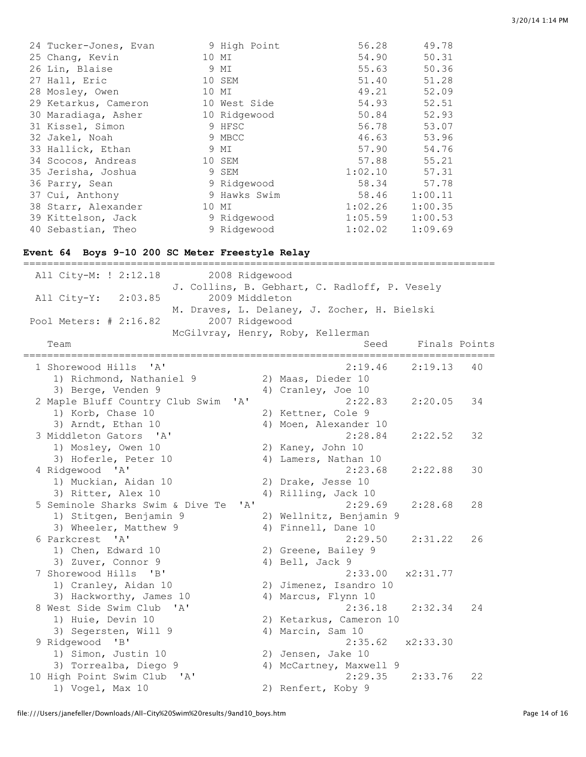| 24 Tucker-Jones, Evan | 9 High Point | 56.28   | 49.78   |
|-----------------------|--------------|---------|---------|
| 25 Chang, Kevin       | 10 MI        | 54.90   | 50.31   |
| 26 Lin, Blaise        | 9 MI         | 55.63   | 50.36   |
| 27 Hall, Eric         | 10 SEM       | 51.40   | 51.28   |
| 28 Mosley, Owen       | 10 MI        | 49.21   | 52.09   |
| 29 Ketarkus, Cameron  | 10 West Side | 54.93   | 52.51   |
| 30 Maradiaga, Asher   | 10 Ridgewood | 50.84   | 52.93   |
| 31 Kissel, Simon      | 9 HFSC       | 56.78   | 53.07   |
| 32 Jakel, Noah        | 9 MBCC       | 46.63   | 53.96   |
| 33 Hallick, Ethan     | 9 MI         | 57.90   | 54.76   |
| 34 Scocos, Andreas    | 10 SEM       | 57.88   | 55.21   |
| 35 Jerisha, Joshua    | 9 SEM        | 1:02.10 | 57.31   |
| 36 Parry, Sean        | 9 Ridgewood  | 58.34   | 57.78   |
| 37 Cui, Anthony       | 9 Hawks Swim | 58.46   | 1:00.11 |
| 38 Starr, Alexander   | 10 MI        | 1:02.26 | 1:00.35 |
| 39 Kittelson, Jack    | 9 Ridgewood  | 1:05.59 | 1:00.53 |
| 40 Sebastian, Theo    | 9 Ridgewood  | 1:02.02 | 1:09.69 |

#### **Event 64 Boys 9-10 200 SC Meter Freestyle Relay**

=============================================================================== All City-M: ! 2:12.18 2008 Ridgewood J. Collins, B. Gebhart, C. Radloff, P. Vesely All City-Y: 2:03.85 2009 Middleton M. Draves, L. Delaney, J. Zocher, H. Bielski Pool Meters: # 2:16.82 2007 Ridgewood McGilvray, Henry, Roby, Kellerman Team Seed Finals Points =============================================================================== 1 Shorewood Hills 'A' 2:19.46 2:19.13 40 1) Richmond, Nathaniel 9 2) Maas, Dieder 10 3) Berge, Venden 9 4) Cranley, Joe 10 2 Maple Bluff Country Club Swim 'A' 2:22.83 2:20.05 34 1) Korb, Chase 10 2) Kettner, Cole 9 3) Arndt, Ethan 10 4) Moen, Alexander 10 3 Middleton Gators 'A' 2:28.84 2:22.52 32 1) Mosley, Owen 10 2) Kaney, John 10<br>3) Hoferle, Peter 10 4) Lamers, Nathan 4) Lamers, Nathan 10 4 Ridgewood 'A' 2:23.68 2:22.88 30 1) Muckian, Aidan 10 2) Drake, Jesse 10 3) Ritter, Alex 10 4) Rilling, Jack 10 5 Seminole Sharks Swim & Dive Te 'A' 2:29.69 2:28.68 28 1) Stitgen, Benjamin 9 2) Wellnitz, Benjamin 9 3) Wheeler, Matthew 9 4) Finnell, Dane 10 6 Parkcrest 'A' 2:29.50 2:31.22 26 1) Chen, Edward 10 2) Greene, Bailey 9 3) Zuver, Connor 9 4) Bell, Jack 9 7 Shorewood Hills 'B' 2:33.00 x2:31.77 1) Cranley, Aidan 10 2) Jimenez, Isandro 10 3) Hackworthy, James 10 4) Marcus, Flynn 10 8 West Side Swim Club 'A' 2:36.18 2:32.34 24 2:30.10<br>1) Huie, Devin 10 2) Ketarkus, Cameron 10 3) Segersten, Will 9 4) Marcin, Sam 10 9 Ridgewood 'B' 2:35.62 x2:33.30 1) Simon, Justin 10 2) Jensen, Jake 10 3) Torrealba, Diego 9 4) McCartney, Maxwell 9 10 High Point Swim Club 'A' 2:29.35 2:33.76 22 1) Vogel, Max 10 2) Renfert, Koby 9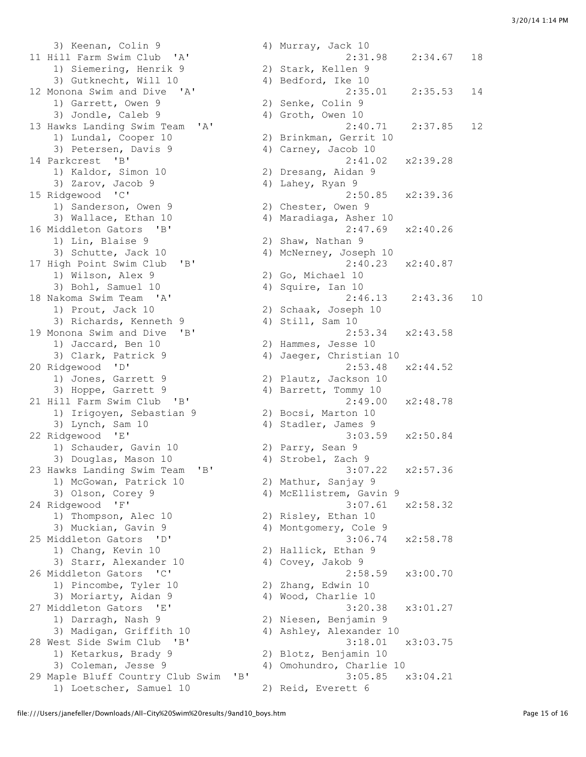3) Keenan, Colin 9 4) Murray, Jack 10 1) Siemering, Henrik 9 2) Stark, Kellen 9<br>3) Gutknecht, Will 10 4) Bedford, Ike 10 1) Garrett, Owen 9 2) Senke, Colin 9 3) Jondle, Caleb 9 4) Groth, Owen 10 1) Lundal, Cooper 10 2) Brinkman, Gerrit 10 3) Petersen, Davis 9 (4) Carney, Jacob 10 14 Parkcrest 'B' 2:41.02 x2:39.28 1) Kaldor, Simon 10 2) Dresang, Aidan 9 3) Zarov, Jacob 9 4) Lahey, Ryan 9 15 Ridgewood 'C' 2:50.85 x2:39.36 1) Sanderson, Owen 9 2) Chester, Owen 9 3) Wallace, Ethan 10 4) Maradiaga, Asher 10 16 Middleton Gators 'B' 2:47.69 x2:40.26 1) Lin, Blaise 9 2) Shaw, Nathan 9<br>
1) Lin, Blaise 9 2) Shaw, Nathan 9<br>
3) Schutte, Jack 10 4) McNerney, Josep 17 High Point Swim Club 'B' 2:40.23 x2:40.87 1) Wilson, Alex 9 2) Go, Michael 10 3) Bohl, Samuel 10 4) Squire, Ian 10 1) Prout, Jack 10 2) Schaak, Joseph 10 3) Richards, Kenneth 9 4) Still, Sam 10 19 Monona Swim and Dive 'B' 2:53.34 x2:43.58 1) Jaccard, Ben 10 2) Hammes, Jesse 10 3) Clark, Patrick 9 4) Jaeger, Christian 10 20 Ridgewood 'D' 2:53.48 x2:44.52<br>
2) Jones, Garrett 9 2) Plautz, Jackson 10<br>
3) Hoppe, Garrett 9 4) Barrett, Tommy 10 1) Jones, Garrett 9 2) Plautz, Jackson 10 3) Hoppe, Garrett 9 4) Barrett, Tommy 10 21 Hill Farm Swim Club 'B' 2:49.00 x2:48.78 1) Irigoyen, Sebastian 9 2) Bocsi, Marton 10 3) Lynch, Sam 10 4) Stadler, James 9 22 Ridgewood 'E' 3:03.59 x2:50.84 1) Schauder, Gavin 10 (2) Parry, Sean 9<br>3) Douglas, Mason 10 (2) 4) Strobel, Zach 9 3) Douglas, Mason 10 4) Strobel, Zach 9 23 Hawks Landing Swim Team 'B' 3:07.22 x2:57.36 1) McGowan, Patrick 10 2) Mathur, Sanjay 9 3) Olson, Corey 9 4) McEllistrem, Gavin 9 24 Ridgewood 'F' 3:07.61 x2:58.32 1) Thompson, Alec 10 2) Risley, Ethan 10 3) Muckian, Gavin 9 4) Montgomery, Cole 9 25 Middleton Gators 'D' 3:06.74 x2:58.78 1) Chang, Kevin 10 2) Hallick, Ethan 9 3) Starr, Alexander 10 (4) Covey, Jakob 9 26 Middleton Gators 'C' 2:58.59 x3:00.70<br>
1) Pincombe, Tyler 10<br>
3) Moriarty, Aidan 9<br>
4) Wood, Charlie 10 1) Pincombe, Tyler 10 2) Zhang, Edwin 10 3) Moriarty, Aidan 9 4) Wood, Charlie 10 27 Middleton Gators 'E' 3:20.38 x3:01.27 1) Darragh, Nash 9 2) Niesen, Benjamin 9 3) Madigan, Griffith 10 4) Ashley, Alexander 10 28 West Side Swim Club 'B' 3:18.01 x3:03.75 1) Ketarkus, Brady 9 2) Blotz, Benjamin 10 3) Coleman, Jesse 9 4) Omohundro, Charlie 10 29 Maple Bluff Country Club Swim 'B' 3:05.85 x3:04.21

11 Hill Farm Swim Club 'A' 2:31.98 2:34.67 18<br>1) Siemering, Henrik 9 2) Stark, Kellen 9 3) Gutknecht, Will 10 <br>
Ionona Swim and Dive 'A' 4) Bedford, Ike 10 2:35.53 12 Monona Swim and Dive 'A' 2:35.01 2:35.53 14 13 Hawks Landing Swim Team 'A' 2:40.71 2:37.85 12 4) McNerney, Joseph 10 18 Nakoma Swim Team 'A' 2:46.13 2:43.36 10 1) Loetscher, Samuel 10 2) Reid, Everett 6